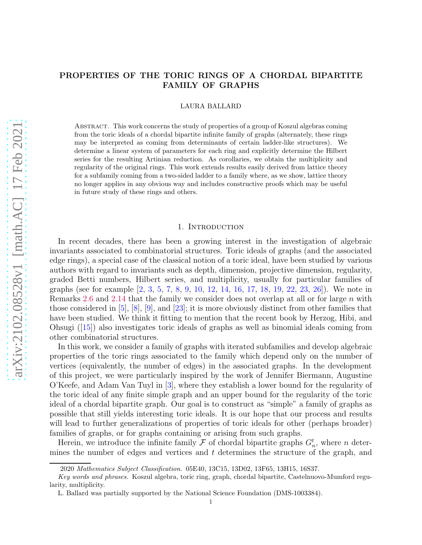# PROPERTIES OF THE TORIC RINGS OF A CHORDAL BIPARTITE FAMILY OF GRAPHS

LAURA BALLARD

Abstract. This work concerns the study of properties of a group of Koszul algebras coming from the toric ideals of a chordal bipartite infinite family of graphs (alternately, these rings may be interpreted as coming from determinants of certain ladder-like structures). We determine a linear system of parameters for each ring and explicitly determine the Hilbert series for the resulting Artinian reduction. As corollaries, we obtain the multiplicity and regularity of the original rings. This work extends results easily derived from lattice theory for a subfamily coming from a two-sided ladder to a family where, as we show, lattice theory no longer applies in any obvious way and includes constructive proofs which may be useful in future study of these rings and others.

# 1. INTRODUCTION

In recent decades, there has been a growing interest in the investigation of algebraic invariants associated to combinatorial structures. Toric ideals of graphs (and the associated edge rings), a special case of the classical notion of a toric ideal, have been studied by various authors with regard to invariants such as depth, dimension, projective dimension, regularity, graded Betti numbers, Hilbert series, and multiplicity, usually for particular families of graphs (see for example [\[2,](#page-30-0) [3,](#page-30-1) [5,](#page-30-2) [7,](#page-30-3) [8,](#page-30-4) [9,](#page-30-5) [10,](#page-30-6) [12,](#page-30-7) [14,](#page-30-8) [16,](#page-30-9) [17,](#page-30-10) [18,](#page-30-11) [19,](#page-30-12) [22,](#page-30-13) [23,](#page-30-14) [26\]](#page-30-15)). We note in Remarks [2.6](#page-5-0) and [2.14](#page-8-0) that the family we consider does not overlap at all or for large  $n$  with those considered in [\[5\]](#page-30-2), [\[8\]](#page-30-4), [\[9\]](#page-30-5), and [\[23\]](#page-30-14); it is more obviously distinct from other families that have been studied. We think it fitting to mention that the recent book by Herzog, Hibi, and Ohsugi ([\[15\]](#page-30-16)) also investigates toric ideals of graphs as well as binomial ideals coming from other combinatorial structures.

In this work, we consider a family of graphs with iterated subfamilies and develop algebraic properties of the toric rings associated to the family which depend only on the number of vertices (equivalently, the number of edges) in the associated graphs. In the development of this project, we were particularly inspired by the work of Jennifer Biermann, Augustine O'Keefe, and Adam Van Tuyl in [\[3\]](#page-30-1), where they establish a lower bound for the regularity of the toric ideal of any finite simple graph and an upper bound for the regularity of the toric ideal of a chordal bipartite graph. Our goal is to construct as "simple" a family of graphs as possible that still yields interesting toric ideals. It is our hope that our process and results will lead to further generalizations of properties of toric ideals for other (perhaps broader) families of graphs, or for graphs containing or arising from such graphs.

Herein, we introduce the infinite family  $\mathcal F$  of chordal bipartite graphs  $G_n^t$ , where n determines the number of edges and vertices and t determines the structure of the graph, and

<sup>2020</sup> Mathematics Subject Classification. 05E40, 13C15, 13D02, 13F65, 13H15, 16S37.

Key words and phrases. Koszul algebra, toric ring, graph, chordal bipartite, Castelnuovo-Mumford regularity, multiplicity.

L. Ballard was partially supported by the National Science Foundation (DMS-1003384).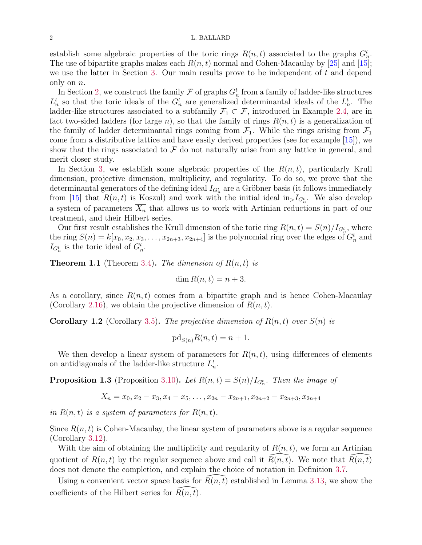### 2 L. BALLARD

establish some algebraic properties of the toric rings  $R(n, t)$  associated to the graphs  $G_n^t$ . The use of bipartite graphs makes each  $R(n, t)$  normal and Cohen-Macaulay by [\[25\]](#page-30-17) and [\[15\]](#page-30-16); we use the latter in Section [3.](#page-16-0) Our main results prove to be independent of  $t$  and depend only on  $n$ .

In Section [2,](#page-2-0) we construct the family  $\mathcal F$  of graphs  $G_n^t$  from a family of ladder-like structures  $L_n^t$  so that the toric ideals of the  $G_n^t$  are generalized determinantal ideals of the  $L_n^t$ . The ladder-like structures associated to a subfamily  $\mathcal{F}_1 \subset \mathcal{F}$ , introduced in Example [2.4,](#page-4-0) are in fact two-sided ladders (for large n), so that the family of rings  $R(n, t)$  is a generalization of the family of ladder determinantal rings coming from  $\mathcal{F}_1$ . While the rings arising from  $\mathcal{F}_1$ come from a distributive lattice and have easily derived properties (see for example [\[15\]](#page-30-16)), we show that the rings associated to  $\mathcal F$  do not naturally arise from any lattice in general, and merit closer study.

In Section [3,](#page-16-0) we establish some algebraic properties of the  $R(n, t)$ , particularly Krull dimension, projective dimension, multiplicity, and regularity. To do so, we prove that the determinantal generators of the defining ideal  $I_{G_n^t}$  are a Gröbner basis (it follows immediately from [\[15\]](#page-30-16) that  $R(n,t)$  is Koszul) and work with the initial ideal in  $I_{G_n^t}$ . We also develop a system of parameters  $\overline{X_n}$  that allows us to work with Artinian reductions in part of our treatment, and their Hilbert series.

Our first result establishes the Krull dimension of the toric ring  $R(n,t) = S(n)/I_{G_n^t}$ , where the ring  $S(n) = k[x_0, x_2, x_3, \ldots, x_{2n+3}, x_{2n+4}]$  is the polynomial ring over the edges of  $G_n^t$  and  $I_{G_n^t}$  is the toric ideal of  $G_n^t$ .

**Theorem 1.1** (Theorem [3.4\)](#page-17-0). The dimension of  $R(n, t)$  is

$$
\dim R(n,t) = n+3.
$$

As a corollary, since  $R(n, t)$  comes from a bipartite graph and is hence Cohen-Macaulay (Corollary [2.16\)](#page-9-0), we obtain the projective dimension of  $R(n, t)$ .

**Corollary 1.2** (Corollary [3.5\)](#page-18-0). The projective dimension of  $R(n, t)$  over  $S(n)$  is

$$
\mathrm{pd}_{S(n)}R(n,t) = n+1.
$$

We then develop a linear system of parameters for  $R(n, t)$ , using differences of elements on antidiagonals of the ladder-like structure  $L_n^t$ .

**Proposition 1.3** (Proposition [3.10\)](#page-20-0). Let  $R(n,t) = S(n)/I_{G_n^t}$ . Then the image of

$$
X_n = x_0, x_2 - x_3, x_4 - x_5, \dots, x_{2n} - x_{2n+1}, x_{2n+2} - x_{2n+3}, x_{2n+4}
$$

in  $R(n, t)$  is a system of parameters for  $R(n, t)$ .

Since  $R(n, t)$  is Cohen-Macaulay, the linear system of parameters above is a regular sequence (Corollary [3.12\)](#page-21-0).

With the aim of obtaining the multiplicity and regularity of  $R(n, t)$ , we form an Artinian quotient of  $R(n, t)$  by the regular sequence above and call it  $\widehat{R}(n, t)$ . We note that  $\widehat{R}(n, t)$ does not denote the completion, and explain the choice of notation in Definition [3.7.](#page-18-1)

Using a convenient vector space basis for  $R(n, t)$  established in Lemma [3.13,](#page-21-1) we show the coefficients of the Hilbert series for  $\overline{R}(n, t)$ .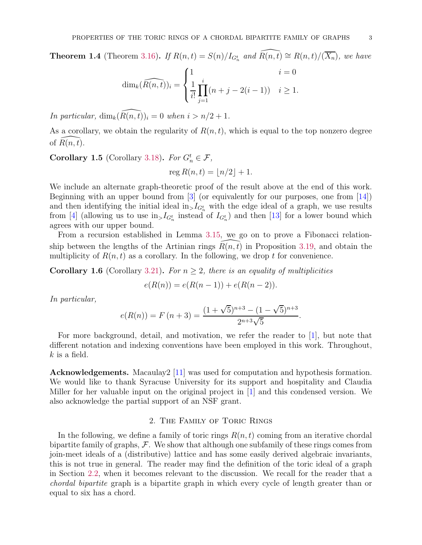**Theorem 1.4** (Theorem [3.16\)](#page-24-0). If  $R(n,t) = S(n)/I_{G_n^t}$  and  $\widehat{R(n,t)} \cong R(n,t)/(\overline{X_n})$ , we have

$$
\dim_k(\widehat{R(n,t)})_i = \begin{cases} 1 & i = 0 \\ \frac{1}{i!} \prod_{j=1}^i (n+j-2(i-1)) & i \ge 1. \end{cases}
$$

In particular,  $\dim_k(\widehat{R(n, t)})_i = 0$  when  $i > n/2 + 1$ .

As a corollary, we obtain the regularity of  $R(n, t)$ , which is equal to the top nonzero degree of  $R(n, t)$ .

**Corollary 1.5** (Corollary [3.18\)](#page-26-0). For  $G_n^t \in \mathcal{F}$ ,

$$
\operatorname{reg} R(n,t) = \lfloor n/2 \rfloor + 1.
$$

We include an alternate graph-theoretic proof of the result above at the end of this work. Beginning with an upper bound from [\[3\]](#page-30-1) (or equivalently for our purposes, one from [\[14\]](#page-30-8)) and then identifying the initial ideal  $\text{in}_{>}I_{G_n^t}$  with the edge ideal of a graph, we use results from [\[4\]](#page-30-18) (allowing us to use  $\text{in}_{>}I_{G_n^t}$  instead of  $I_{G_n^t}$ ) and then [\[13\]](#page-30-19) for a lower bound which agrees with our upper bound.

From a recursion established in Lemma [3.15,](#page-24-1) we go on to prove a Fibonacci relationship between the lengths of the Artinian rings  $\overline{R}(n, t)$  in Proposition [3.19,](#page-27-0) and obtain the multiplicity of  $R(n, t)$  as a corollary. In the following, we drop t for convenience.

**Corollary 1.6** (Corollary [3.21\)](#page-28-0). For  $n \geq 2$ , there is an equality of multiplicities

$$
e(R(n)) = e(R(n-1)) + e(R(n-2)).
$$

In particular,

$$
e(R(n)) = F(n+3) = \frac{(1+\sqrt{5})^{n+3} - (1-\sqrt{5})^{n+3}}{2^{n+3}\sqrt{5}}.
$$

For more background, detail, and motivation, we refer the reader to [\[1\]](#page-30-20), but note that different notation and indexing conventions have been employed in this work. Throughout,  $k$  is a field.

Acknowledgements. Macaulay2 [\[11\]](#page-30-21) was used for computation and hypothesis formation. We would like to thank Syracuse University for its support and hospitality and Claudia Miller for her valuable input on the original project in [\[1\]](#page-30-20) and this condensed version. We also acknowledge the partial support of an NSF grant.

# 2. The Family of Toric Rings

<span id="page-2-0"></span>In the following, we define a family of toric rings  $R(n, t)$  coming from an iterative chordal bipartite family of graphs,  $\mathcal F$ . We show that although one subfamily of these rings comes from join-meet ideals of a (distributive) lattice and has some easily derived algebraic invariants, this is not true in general. The reader may find the definition of the toric ideal of a graph in Section [2.2,](#page-8-1) when it becomes relevant to the discussion. We recall for the reader that a chordal bipartite graph is a bipartite graph in which every cycle of length greater than or equal to six has a chord.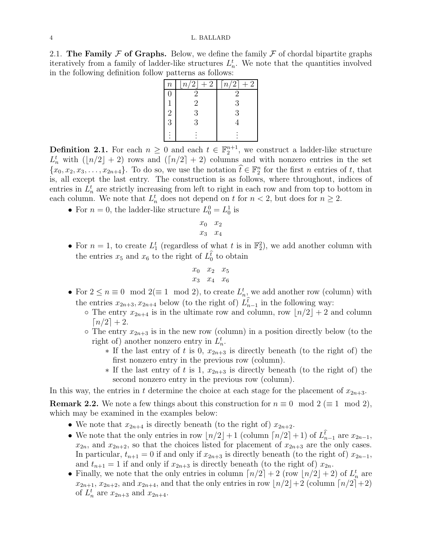2.1. The Family  $\mathcal F$  of Graphs. Below, we define the family  $\mathcal F$  of chordal bipartite graphs iteratively from a family of ladder-like structures  $L_n^t$ . We note that the quantities involved in the following definition follow patterns as follows:

| $\boldsymbol{n}$ | $n/2$   + 2    | $\lceil n/2 \rceil$<br>$+2$ |
|------------------|----------------|-----------------------------|
| $\left( \right)$ | $\overline{2}$ | 2                           |
|                  | $\overline{2}$ | 3                           |
| $\overline{c}$   | 3              | 3                           |
| 3                | 3              |                             |
|                  |                |                             |

<span id="page-3-0"></span>**Definition 2.1.** For each  $n \geq 0$  and each  $t \in \mathbb{F}_2^{n+1}$ , we construct a ladder-like structure  $L_n^t$  with  $(\lfloor n/2 \rfloor + 2)$  rows and  $(\lceil n/2 \rceil + 2)$  columns and with nonzero entries in the set  $\{x_0, x_2, x_3, \ldots, x_{2n+4}\}.$  To do so, we use the notation  $\widehat{t} \in \mathbb{F}_2^n$  for the first *n* entries of *t*, that is, all except the last entry. The construction is as follows, where throughout, indices of entries in  $L_n^t$  are strictly increasing from left to right in each row and from top to bottom in each column. We note that  $L_n^t$  does not depend on t for  $n < 2$ , but does for  $n \geq 2$ .

• For  $n = 0$ , the ladder-like structure  $L_0^0 = L_0^1$  is

$$
\begin{array}{cc}\nx_0 & x_2 \\
x_3 & x_4\n\end{array}
$$

• For  $n=1$ , to create  $L_1^t$  (regardless of what t is in  $\mathbb{F}_2^2$ ), we add another column with the entries  $x_5$  and  $x_6$  to the right of  $L_0^{\hat{t}}$  to obtain

$$
\begin{array}{ccccc}\nx_0 & x_2 & x_5 \\
x_3 & x_4 & x_6\n\end{array}
$$

- For  $2 \le n \equiv 0 \mod 2 (\equiv 1 \mod 2)$ , to create  $L_{n_{\infty}}^{t}$  we add another row (column) with the entries  $x_{2n+3}, x_{2n+4}$  below (to the right of)  $\hat{L}_{n-1}^{\hat{t}}$  in the following way:
	- $\circ$  The entry  $x_{2n+4}$  is in the ultimate row and column, row  $\lfloor n/2 \rfloor + 2$  and column  $\lceil n/2 \rceil + 2$ .
	- $\circ$  The entry  $x_{2n+3}$  is in the new row (column) in a position directly below (to the right of) another nonzero entry in  $L_n^t$ .
		- $*$  If the last entry of t is 0,  $x_{2n+3}$  is directly beneath (to the right of) the first nonzero entry in the previous row (column).
		- $*$  If the last entry of t is 1,  $x_{2n+3}$  is directly beneath (to the right of) the second nonzero entry in the previous row (column).

In this way, the entries in t determine the choice at each stage for the placement of  $x_{2n+3}$ .

<span id="page-3-1"></span>**Remark 2.2.** We note a few things about this construction for  $n \equiv 0 \mod 2 (\equiv 1 \mod 2)$ , which may be examined in the examples below:

- We note that  $x_{2n+4}$  is directly beneath (to the right of)  $x_{2n+2}$ .
- We note that the only entries in row  $\lfloor n/2 \rfloor + 1$  (column  $\lceil n/2 \rceil + 1$ ) of  $L_{n-1}^{\hat{t}}$  are  $x_{2n-1}$ ,  $x_{2n}$ , and  $x_{2n+2}$ , so that the choices listed for placement of  $x_{2n+3}$  are the only cases. In particular,  $t_{n+1} = 0$  if and only if  $x_{2n+3}$  is directly beneath (to the right of)  $x_{2n-1}$ , and  $t_{n+1} = 1$  if and only if  $x_{2n+3}$  is directly beneath (to the right of)  $x_{2n}$ .
- Finally, we note that the only entries in column  $\lceil n/2 \rceil + 2$  (row  $\lfloor n/2 \rfloor + 2$ ) of  $L_n^t$  are  $x_{2n+1}, x_{2n+2},$  and  $x_{2n+4}$ , and that the only entries in row  $\lfloor n/2 \rfloor + 2$  (column  $\lceil n/2 \rceil + 2$ ) of  $L_n^t$  are  $x_{2n+3}$  and  $x_{2n+4}$ .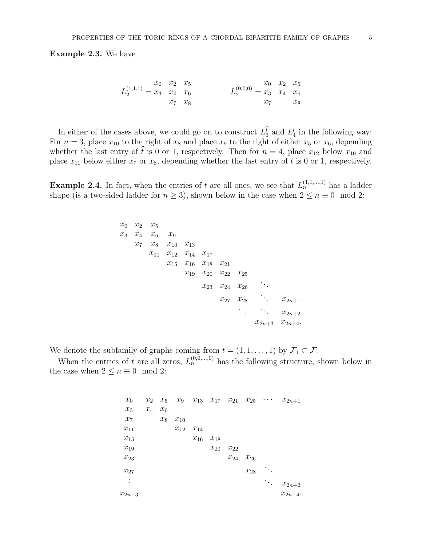<span id="page-4-1"></span>Example 2.3. We have

$$
L_2^{(1,1,1)} = \begin{matrix} x_0 & x_2 & x_5 \ x_2 & x_4 & x_6 \ x_7 & x_8 \end{matrix}
$$
  

$$
L_2^{(0,0,0)} = \begin{matrix} x_0 & x_2 & x_5 \ x_3 & x_4 & x_6 \ x_7 & x_8 & x_7 \end{matrix}
$$

In either of the cases above, we could go on to construct  $L_3^{\hat{t}}$  and  $L_4^t$  in the following way: For  $n = 3$ , place  $x_{10}$  to the right of  $x_8$  and place  $x_9$  to the right of either  $x_5$  or  $x_6$ , depending whether the last entry of  $\hat{t}$  is 0 or 1, respectively. Then for  $n = 4$ , place  $x_{12}$  below  $x_{10}$  and place  $x_{11}$  below either  $x_7$  or  $x_8$ , depending whether the last entry of t is 0 or 1, respectively.

<span id="page-4-0"></span>**Example 2.4.** In fact, when the entries of t are all ones, we see that  $L_n^{(1,1,...,1)}$  has a ladder shape (is a two-sided ladder for  $n \ge 3$ ), shown below in the case when  $2 \le n \equiv 0 \mod 2$ :

$$
x_0
$$
  $x_2$   $x_5$   
\n $x_3$   $x_4$   $x_6$   $x_9$   
\n $x_7$   $x_8$   $x_{10}$   $x_{13}$   
\n $x_{11}$   $x_{12}$   $x_{14}$   $x_{17}$   
\n $x_{15}$   $x_{16}$   $x_{18}$   $x_{21}$   
\n $x_{19}$   $x_{20}$   $x_{22}$   $x_{25}$   
\n $x_{23}$   $x_{24}$   $x_{26}$   
\n $x_{27}$   $x_{28}$   $\therefore$   $x_{2n+1}$   
\n $\therefore$   $x_{2n+2}$   
\n $x_{2n+3}$   $x_{2n+4}$ .

We denote the subfamily of graphs coming from  $t = (1, 1, \ldots, 1)$  by  $\mathcal{F}_1 \subset \mathcal{F}$ .

When the entries of t are all zeros,  $L_n^{(0,0,\dots,0)}$  has the following structure, shown below in the case when  $2 \le n \equiv 0 \mod 2$ :

> $x_0$   $x_2$   $x_5$   $x_9$   $x_{13}$   $x_{17}$   $x_{21}$   $x_{25}$   $\cdots$   $x_{2n+1}$  $x_3$   $x_4$   $x_6$  $x_7 \hspace{1.5cm} x_8 \hspace{1.5cm} x_{10}$  $x_{11}$   $x_{12}$   $x_{14}$  $x_{15}$   $x_{16}$   $x_{18}$  $x_{19}$   $x_{20}$   $x_{22}$  $x_{23}$   $x_{24}$   $x_{26}$  $x_{27}$   $x_{28}$ . . . . . .  $\cdots$   $x_{2n+2}$  $x_{2n+3}$   $x_{2n+4}$ .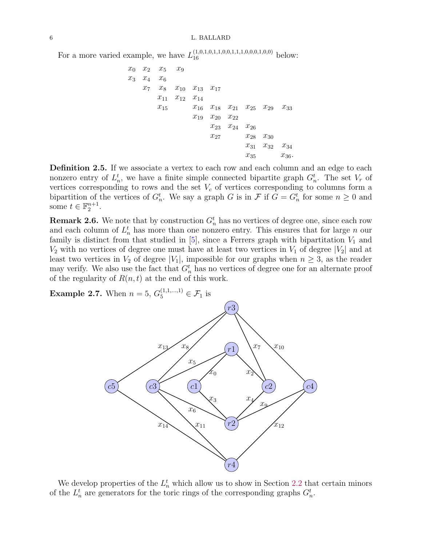For a more varied example, we have  $L_{16}^{(1,0,1,0,1,1,0,0,1,1,1,0,0,0,1,0,0)}$  below:

$$
\begin{array}{ccccccccc} x_0 & x_2 & x_5 & x_9 \\ x_3 & x_4 & x_6 & & & & \\ x_7 & x_8 & x_{10} & x_{13} & x_{17} & & & \\ & x_{11} & x_{12} & x_{14} & & & & \\ & x_{15} & x_{16} & x_{18} & x_{21} & x_{25} & x_{29} & x_{33} \\ & x_{19} & x_{20} & x_{22} & & & \\ & x_{23} & x_{24} & x_{26} & & & \\ & x_{27} & x_{28} & x_{30} & & & \\ & x_{31} & x_{32} & x_{34} & & & \\ & & x_{35} & x_{36} & & & \end{array}
$$

<span id="page-5-1"></span>Definition 2.5. If we associate a vertex to each row and each column and an edge to each nonzero entry of  $L_n^t$ , we have a finite simple connected bipartite graph  $G_n^t$ . The set  $V_r$  of vertices corresponding to rows and the set  $V_c$  of vertices corresponding to columns form a bipartition of the vertices of  $G_n^t$ . We say a graph G is in F if  $G = G_n^t$  for some  $n \geq 0$  and some  $t \in \mathbb{F}_2^{n+1}$ .

<span id="page-5-0"></span>**Remark 2.6.** We note that by construction  $G_n^t$  has no vertices of degree one, since each row and each column of  $L_n^t$  has more than one nonzero entry. This ensures that for large n our family is distinct from that studied in  $[5]$ , since a Ferrers graph with bipartitation  $V_1$  and  $V_2$  with no vertices of degree one must have at least two vertices in  $V_1$  of degree  $|V_2|$  and at least two vertices in  $V_2$  of degree  $|V_1|$ , impossible for our graphs when  $n \geq 3$ , as the reader may verify. We also use the fact that  $G_n^t$  has no vertices of degree one for an alternate proof of the regularity of  $R(n, t)$  at the end of this work.

**Example 2.7.** When  $n = 5$ ,  $G_5^{(1,1,...,1)} \in \mathcal{F}_1$  is



We develop properties of the  $L_n^t$  which allow us to show in Section [2.2](#page-8-1) that certain minors of the  $L_n^t$  are generators for the toric rings of the corresponding graphs  $G_n^t$ .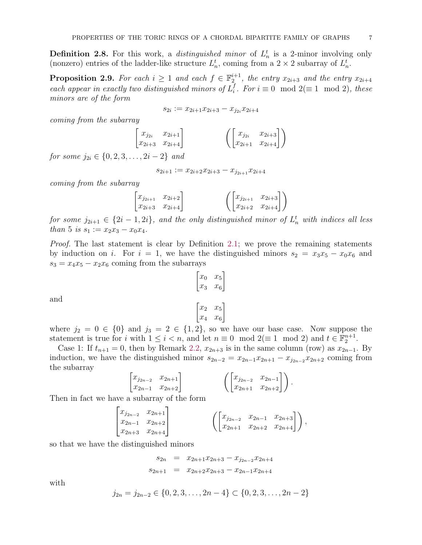**Definition 2.8.** For this work, a *distinguished minor* of  $L_n^t$  is a 2-minor involving only (nonzero) entries of the ladder-like structure  $L_n^t$ , coming from a  $2 \times 2$  subarray of  $L_n^t$ .

<span id="page-6-0"></span>**Proposition 2.9.** For each  $i \geq 1$  and each  $f \in \mathbb{F}_2^{i+1}$ , the entry  $x_{2i+3}$  and the entry  $x_{2i+4}$ each appear in exactly two distinguished minors of  $L_i^f$  $i<sup>J</sup>$ . For  $i \equiv 0 \mod 2$ (≡ 1 mod 2), these minors are of the form

$$
s_{2i}:=x_{2i+1}x_{2i+3}-x_{j_{2i}}x_{2i+4}
$$

coming from the subarray

$$
\begin{pmatrix} x_{j_{2i}} & x_{2i+1} \\ x_{2i+3} & x_{2i+4} \end{pmatrix} \qquad \qquad \left( \begin{bmatrix} x_{j_{2i}} & x_{2i+3} \\ x_{2i+1} & x_{2i+4} \end{bmatrix} \right)
$$

for some  $j_{2i} \in \{0, 2, 3, \ldots, 2i-2\}$  and

 $\sqrt{ }$ 

 $s_{2i+1} := x_{2i+2}x_{2i+3} - x_{j_{2i+1}}x_{2i+4}$ 

coming from the subarray

$$
\begin{bmatrix} x_{j_{2i+1}} & x_{2i+2} \\ x_{2i+3} & x_{2i+4} \end{bmatrix} \qquad \qquad \begin{pmatrix} x_{j_{2i+1}} & x_{2i+3} \\ x_{2i+2} & x_{2i+4} \end{pmatrix}
$$

for some  $j_{2i+1} \in \{2i-1, 2i\}$ , and the only distinguished minor of  $L_n^t$  with indices all less than 5 is  $s_1 := x_2x_3 - x_0x_4$ .

Proof. The last statement is clear by Definition [2.1;](#page-3-0) we prove the remaining statements by induction on i. For  $i = 1$ , we have the distinguished minors  $s_2 = x_3x_5 - x_0x_6$  and  $s_3 = x_4x_5 - x_2x_6$  coming from the subarrays

$$
\begin{bmatrix} x_0 & x_5 \ x_3 & x_6 \end{bmatrix}
$$

and

$$
\begin{bmatrix} x_2 & x_5 \\ x_4 & x_6 \end{bmatrix}
$$

where  $j_2 = 0 \in \{0\}$  and  $j_3 = 2 \in \{1,2\}$ , so we have our base case. Now suppose the statement is true for i with  $1 \leq i < n$ , and let  $n \equiv 0 \mod 2 (\equiv 1 \mod 2)$  and  $t \in \mathbb{F}_2^{n+1}$ .

Case 1: If  $t_{n+1} = 0$ , then by Remark [2.2,](#page-3-1)  $x_{2n+3}$  is in the same column (row) as  $x_{2n-1}$ . By induction, we have the distinguished minor  $s_{2n-2} = x_{2n-1}x_{2n+1} - x_{j_{2n-2}}x_{2n+2}$  coming from the subarray

$$
\begin{bmatrix} x_{j_{2n-2}} & x_{2n+1} \\ x_{2n-1} & x_{2n+2} \end{bmatrix} \qquad \qquad \left( \begin{bmatrix} x_{j_{2n-2}} & x_{2n-1} \\ x_{2n+1} & x_{2n+2} \end{bmatrix} \right).
$$

Then in fact we have a subarray of the form

$$
\begin{bmatrix} x_{j_{2n-2}} & x_{2n+1} \\ x_{2n-1} & x_{2n+2} \\ x_{2n+3} & x_{2n+4} \end{bmatrix} \qquad \qquad \left( \begin{bmatrix} x_{j_{2n-2}} & x_{2n-1} & x_{2n+3} \\ x_{2n+1} & x_{2n+2} & x_{2n+4} \end{bmatrix} \right),
$$

so that we have the distinguished minors

$$
s_{2n} = x_{2n+1}x_{2n+3} - x_{j_{2n-2}}x_{2n+4}
$$
  

$$
s_{2n+1} = x_{2n+2}x_{2n+3} - x_{2n-1}x_{2n+4}
$$

with

$$
j_{2n} = j_{2n-2} \in \{0, 2, 3, \dots, 2n-4\} \subset \{0, 2, 3, \dots, 2n-2\}
$$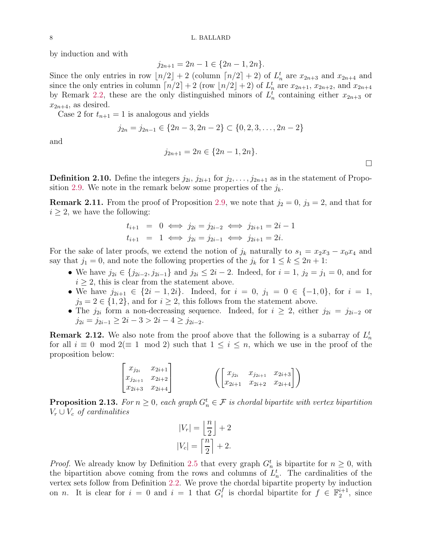by induction and with

$$
j_{2n+1} = 2n - 1 \in \{2n - 1, 2n\}.
$$

Since the only entries in row  $\lfloor n/2 \rfloor + 2$  (column  $\lceil n/2 \rceil + 2$ ) of  $L_n^t$  are  $x_{2n+3}$  and  $x_{2n+4}$  and since the only entries in column  $\lceil n/2 \rceil + 2$  (row  $\lfloor n/2 \rfloor + 2$ ) of  $L_n^t$  are  $x_{2n+1}, x_{2n+2}$ , and  $x_{2n+4}$ by Remark [2.2,](#page-3-1) these are the only distinguished minors of  $L_n^t$  containing either  $x_{2n+3}$  or  $x_{2n+4}$ , as desired.

Case 2 for  $t_{n+1} = 1$  is analogous and yields

$$
j_{2n} = j_{2n-1} \in \{2n-3, 2n-2\} \subset \{0, 2, 3, \dots, 2n-2\}
$$

and

$$
j_{2n+1} = 2n \in \{2n-1, 2n\}.
$$

**Definition 2.10.** Define the integers  $j_{2i}, j_{2i+1}$  for  $j_2, \ldots, j_{2n+1}$  as in the statement of Propo-sition [2.9.](#page-6-0) We note in the remark below some properties of the  $j_k$ .

<span id="page-7-2"></span>**Remark 2.11.** From the proof of Proposition [2.9,](#page-6-0) we note that  $j_2 = 0$ ,  $j_3 = 2$ , and that for  $i \geq 2$ , we have the following:

$$
t_{i+1} = 0 \iff j_{2i} = j_{2i-2} \iff j_{2i+1} = 2i - 1
$$
  

$$
t_{i+1} = 1 \iff j_{2i} = j_{2i-1} \iff j_{2i+1} = 2i.
$$

For the sake of later proofs, we extend the notion of  $j_k$  naturally to  $s_1 = x_2x_3 - x_0x_4$  and say that  $j_1 = 0$ , and note the following properties of the  $j_k$  for  $1 \leq k \leq 2n + 1$ :

- We have  $j_{2i} \in \{j_{2i-2}, j_{2i-1}\}\$  and  $j_{2i} \leq 2i-2$ . Indeed, for  $i = 1, j_2 = j_1 = 0$ , and for  $i \geq 2$ , this is clear from the statement above.
- We have  $j_{2i+1} \in \{2i-1, 2i\}$ . Indeed, for  $i = 0, j_1 = 0 \in \{-1, 0\}$ , for  $i = 1$ ,  $j_3 = 2 \in \{1, 2\}$ , and for  $i \geq 2$ , this follows from the statement above.
- The  $j_{2i}$  form a non-decreasing sequence. Indeed, for  $i \geq 2$ , either  $j_{2i} = j_{2i-2}$  or  $j_{2i} = j_{2i-1} \geq 2i-3 > 2i-4 \geq j_{2i-2}.$

<span id="page-7-0"></span>**Remark 2.12.** We also note from the proof above that the following is a subarray of  $L_n^t$ for all  $i \equiv 0 \mod 2 (\equiv 1 \mod 2)$  such that  $1 \leq i \leq n$ , which we use in the proof of the proposition below:

$$
\begin{bmatrix} x_{j_{2i}} & x_{2i+1} \\ x_{j_{2i+1}} & x_{2i+2} \\ x_{2i+3} & x_{2i+4} \end{bmatrix} \qquad \qquad \left( \begin{bmatrix} x_{j_{2i}} & x_{j_{2i+1}} & x_{2i+3} \\ x_{2i+1} & x_{2i+2} & x_{2i+4} \end{bmatrix} \right)
$$

<span id="page-7-1"></span>**Proposition 2.13.** For  $n \geq 0$ , each graph  $G_n^t \in \mathcal{F}$  is chordal bipartite with vertex bipartition  $V_r \cup V_c$  of cardinalities

$$
|V_r| = \left\lfloor \frac{n}{2} \right\rfloor + 2
$$
  

$$
|V_c| = \left\lceil \frac{n}{2} \right\rceil + 2.
$$

*Proof.* We already know by Definition [2.5](#page-5-1) that every graph  $G_n^t$  is bipartite for  $n \geq 0$ , with the bipartition above coming from the rows and columns of  $L_n^t$ . The cardinalities of the vertex sets follow from Definition [2.2.](#page-3-1) We prove the chordal bipartite property by induction on *n*. It is clear for  $i = 0$  and  $i = 1$  that  $G_i^f$  $i$  is chordal bipartite for  $f \in \mathbb{F}_2^{i+1}$ , since

 $\Box$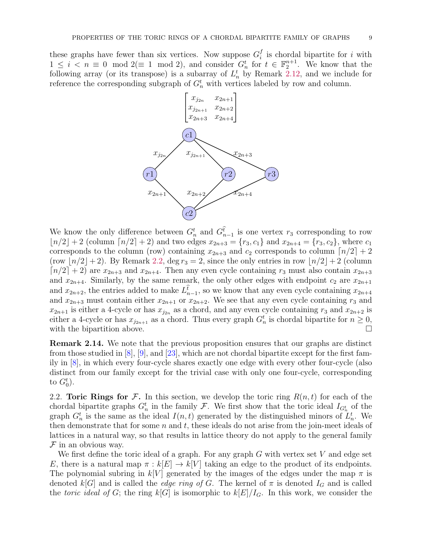these graphs have fewer than six vertices. Now suppose  $G_i^f$  $i_i$  is chordal bipartite for i with  $1 \leq i < n \equiv 0 \mod 2 (\equiv 1 \mod 2)$ , and consider  $G_n^t$  for  $t \in \mathbb{F}_2^{n+1}$ . We know that the following array (or its transpose) is a subarray of  $L_n^t$  by Remark [2.12,](#page-7-0) and we include for reference the corresponding subgraph of  $G_n^t$  with vertices labeled by row and column.



We know the only difference between  $G_n^t$  and  $G_{n-1}^{\hat{t}}$  is one vertex  $r_3$  corresponding to row  $|n/2| + 2$  (column  $[n/2] + 2$ ) and two edges  $x_{2n+3} = \{r_3, c_1\}$  and  $x_{2n+4} = \{r_3, c_2\}$ , where  $c_1$ corresponds to the column (row) containing  $x_{2n+3}$  and  $c_2$  corresponds to column  $\lceil n/2 \rceil + 2$ (row  $\lfloor n/2 \rfloor + 2$ ). By Remark [2.2,](#page-3-1) deg  $r_3 = 2$ , since the only entries in row  $\lfloor n/2 \rfloor + 2$  (column  $\lceil n/2 \rceil + 2$  are  $x_{2n+3}$  and  $x_{2n+4}$ . Then any even cycle containing  $r_3$  must also contain  $x_{2n+3}$ and  $x_{2n+4}$ . Similarly, by the same remark, the only other edges with endpoint  $c_2$  are  $x_{2n+1}$ and  $x_{2n+2}$ , the entries added to make  $L_{n-1}^{\hat{t}}$ , so we know that any even cycle containing  $x_{2n+4}$ and  $x_{2n+3}$  must contain either  $x_{2n+1}$  or  $x_{2n+2}$ . We see that any even cycle containing  $r_3$  and  $x_{2n+1}$  is either a 4-cycle or has  $x_{j_{2n}}$  as a chord, and any even cycle containing  $r_3$  and  $x_{2n+2}$  is either a 4-cycle or has  $x_{j_{2n+1}}$  as a chord. Thus every graph  $G_n^t$  is chordal bipartite for  $n \geq 0$ , with the bipartition above.

<span id="page-8-0"></span>Remark 2.14. We note that the previous proposition ensures that our graphs are distinct from those studied in  $[8]$ ,  $[9]$ , and  $[23]$ , which are not chordal bipartite except for the first family in [\[8\]](#page-30-4), in which every four-cycle shares exactly one edge with every other four-cycle (also distinct from our family except for the trivial case with only one four-cycle, corresponding to  $G_0^t$ ).

<span id="page-8-1"></span>2.2. Toric Rings for F. In this section, we develop the toric ring  $R(n, t)$  for each of the chordal bipartite graphs  $G_n^t$  in the family F. We first show that the toric ideal  $I_{G_n^t}$  of the graph  $G_n^t$  is the same as the ideal  $I(n,t)$  generated by the distinguished minors of  $L_n^t$ . We then demonstrate that for some  $n$  and  $t$ , these ideals do not arise from the join-meet ideals of lattices in a natural way, so that results in lattice theory do not apply to the general family  $F$  in an obvious way.

We first define the toric ideal of a graph. For any graph  $G$  with vertex set  $V$  and edge set E, there is a natural map  $\pi : k[E] \to k[V]$  taking an edge to the product of its endpoints. The polynomial subring in k[V] generated by the images of the edges under the map  $\pi$  is denoted k[G] and is called the *edge ring of G*. The kernel of  $\pi$  is denoted  $I_G$  and is called the toric ideal of G; the ring  $k[G]$  is isomorphic to  $k[E]/I_G$ . In this work, we consider the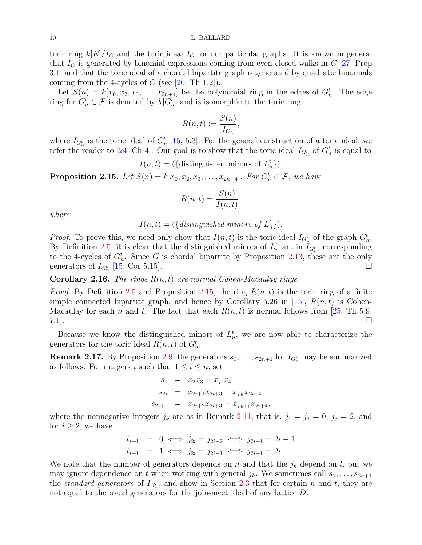toric ring  $k[E]/I_G$  and the toric ideal  $I_G$  for our particular graphs. It is known in general that  $I_G$  is generated by binomial expressions coming from even closed walks in  $G$  [\[27,](#page-30-22) Prop 3.1] and that the toric ideal of a chordal bipartite graph is generated by quadratic binomials coming from the 4-cycles of  $G$  (see [\[20,](#page-30-23) Th 1.2]).

Let  $S(n) = k[x_0, x_2, x_3, \ldots, x_{2n+4}]$  be the polynomial ring in the edges of  $G_n^t$ . The edge ring for  $G_n^t \in \mathcal{F}$  is denoted by  $k[G_n^t]$  and is isomorphic to the toric ring

$$
R(n,t) := \frac{S(n)}{I_{G_n^t}},
$$

where  $I_{G_n^t}$  is the toric ideal of  $G_n^t$  [\[15,](#page-30-16) 5.3]. For the general construction of a toric ideal, we refer the reader to [\[24,](#page-30-24) Ch 4]. Our goal is to show that the toric ideal  $I_{G_n^t}$  of  $G_n^t$  is equal to

 $I(n,t) = (\text{distinguished minors of } L_n^t).$ 

<span id="page-9-1"></span>**Proposition 2.15.** Let  $S(n) = k[x_0, x_2, x_3, \ldots, x_{2n+4}]$ . For  $G_n^t \in \mathcal{F}$ , we have

$$
R(n,t) = \frac{S(n)}{I(n,t)},
$$

where

 $I(n,t) = (\{ \text{distinguished minors of } L_n^t \}).$ 

*Proof.* To prove this, we need only show that  $I(n, t)$  is the toric ideal  $I_{G_n^t}$  of the graph  $G_n^t$ . By Definition [2.5,](#page-5-1) it is clear that the distinguished minors of  $L_n^t$  are in  $\tilde{I}_{G_n^t}$ , corresponding to the 4-cycles of  $G_n^t$ . Since G is chordal bipartite by Proposition [2.13,](#page-7-1) these are the only generators of  $I_{G_n^t}$  [\[15,](#page-30-16) Cor 5.15].

<span id="page-9-0"></span>**Corollary 2.16.** The rings  $R(n, t)$  are normal Cohen-Macaulay rings.

*Proof.* By Definition [2.5](#page-5-1) and Proposition [2.15,](#page-9-1) the ring  $R(n, t)$  is the toric ring of a finite simple connected bipartite graph, and hence by Corollary 5.26 in [\[15\]](#page-30-16),  $R(n, t)$  is Cohen-Macaulay for each n and t. The fact that each  $R(n, t)$  is normal follows from [\[25,](#page-30-17) Th 5.9,  $7.1$ ].

Because we know the distinguished minors of  $L_n^t$ , we are now able to characterize the generators for the toric ideal  $R(n, t)$  of  $G_n^t$ .

<span id="page-9-2"></span>**Remark 2.17.** By Proposition [2.9,](#page-6-0) the generators  $s_1, \ldots, s_{2n+1}$  for  $I_{G_n^t}$  may be summarized as follows. For integers i such that  $1 \leq i \leq n$ , set

$$
s_1 = x_2x_3 - x_{j_1}x_4
$$
  
\n
$$
s_{2i} = x_{2i+1}x_{2i+3} - x_{j_{2i}}x_{2i+4}
$$
  
\n
$$
s_{2i+1} = x_{2i+2}x_{2i+3} - x_{j_{2i+1}}x_{2i+4},
$$

where the nonnegative integers  $j_k$  are as in Remark [2.11,](#page-7-2) that is,  $j_1 = j_2 = 0$ ,  $j_3 = 2$ , and for  $i \geq 2$ , we have

$$
t_{i+1} = 0 \iff j_{2i} = j_{2i-2} \iff j_{2i+1} = 2i - 1
$$
  

$$
t_{i+1} = 1 \iff j_{2i} = j_{2i-1} \iff j_{2i+1} = 2i.
$$

We note that the number of generators depends on n and that the  $j_k$  depend on t, but we may ignore dependence on t when working with general  $j_k$ . We sometimes call  $s_1, \ldots, s_{2n+1}$ the *standard generators* of  $I_{G_n^t}$ , and show in Section [2.3](#page-10-0) that for certain n and t, they are not equal to the usual generators for the join-meet ideal of any lattice D.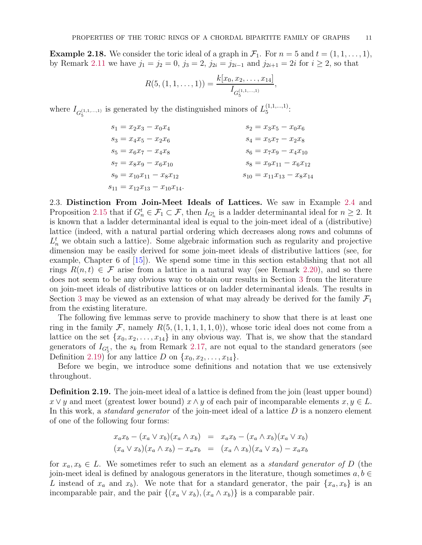**Example 2.18.** We consider the toric ideal of a graph in  $\mathcal{F}_1$ . For  $n = 5$  and  $t = (1, 1, \ldots, 1)$ , by Remark [2.11](#page-7-2) we have  $j_1 = j_2 = 0$ ,  $j_3 = 2$ ,  $j_{2i} = j_{2i-1}$  and  $j_{2i+1} = 2i$  for  $i \ge 2$ , so that

$$
R(5, (1, 1, \ldots, 1)) = \frac{k[x_0, x_2, \ldots, x_{14}]}{I_{G_5^{(1, 1, \ldots, 1)}}},
$$

where  $I_{G_5^{(1,1,...,1)}}$  is generated by the distinguished minors of  $L_5^{(1,1,...,1)}$  $\frac{(1,1,...,1)}{5}$ :

| $s_1 = x_2x_3 - x_0x_4$                | $s_2 = x_3x_5 - x_0x_6$             |
|----------------------------------------|-------------------------------------|
| $s_3 = x_4x_5 - x_2x_6$                | $s_4 = x_5x_7 - x_2x_8$             |
| $s_5 = x_6x_7 - x_4x_8$                | $s_6 = x_7x_9 - x_4x_{10}$          |
| $s_7 = x_8x_9 - x_6x_{10}$             | $s_8 = x_9x_{11} - x_6x_{12}$       |
| $s_9 = x_{10}x_{11} - x_8x_{12}$       | $s_{10} = x_{11}x_{13} - x_8x_{14}$ |
| $s_{11} = x_{12}x_{13} - x_{10}x_{14}$ | $s_{12} = x_{11}x_{13} - x_8x_{14}$ |

<span id="page-10-0"></span>2.3. Distinction From Join-Meet Ideals of Lattices. We saw in Example [2.4](#page-4-0) and Proposition [2.15](#page-9-1) that if  $G_n^t \in \mathcal{F}_1 \subset \mathcal{F}$ , then  $I_{G_n^t}$  is a ladder determinantal ideal for  $n \geq 2$ . It is known that a ladder determinantal ideal is equal to the join-meet ideal of a (distributive) lattice (indeed, with a natural partial ordering which decreases along rows and columns of  $L_n^t$  we obtain such a lattice). Some algebraic information such as regularity and projective dimension may be easily derived for some join-meet ideals of distributive lattices (see, for example, Chapter 6 of [\[15\]](#page-30-16)). We spend some time in this section establishing that not all rings  $R(n,t) \in \mathcal{F}$  arise from a lattice in a natural way (see Remark [2.20\)](#page-11-0), and so there does not seem to be any obvious way to obtain our results in Section [3](#page-16-0) from the literature on join-meet ideals of distributive lattices or on ladder determinantal ideals. The results in Section [3](#page-16-0) may be viewed as an extension of what may already be derived for the family  $\mathcal{F}_1$ from the existing literature.

The following five lemmas serve to provide machinery to show that there is at least one ring in the family F, namely  $R(5,(1,1,1,1,1,0))$ , whose toric ideal does not come from a lattice on the set  $\{x_0, x_2, \ldots, x_{14}\}$  in any obvious way. That is, we show that the standard generators of  $I_{G_5^t}$ , the  $s_k$  from Remark [2.17,](#page-9-2) are not equal to the standard generators (see Definition [2.19\)](#page-10-1) for any lattice D on  $\{x_0, x_2, \ldots, x_{14}\}.$ 

Before we begin, we introduce some definitions and notation that we use extensively throughout.

<span id="page-10-1"></span>**Definition 2.19.** The join-meet ideal of a lattice is defined from the join (least upper bound)  $x \vee y$  and meet (greatest lower bound)  $x \wedge y$  of each pair of incomparable elements  $x, y \in L$ . In this work, a *standard generator* of the join-meet ideal of a lattice  $D$  is a nonzero element of one of the following four forms:

$$
x_a x_b - (x_a \vee x_b)(x_a \wedge x_b) = x_a x_b - (x_a \wedge x_b)(x_a \vee x_b)
$$
  

$$
(x_a \vee x_b)(x_a \wedge x_b) - x_a x_b = (x_a \wedge x_b)(x_a \vee x_b) - x_a x_b
$$

for  $x_a, x_b \in L$ . We sometimes refer to such an element as a *standard generator of* D (the join-meet ideal is defined by analogous generators in the literature, though sometimes  $a, b \in$ L instead of  $x_a$  and  $x_b$ ). We note that for a standard generator, the pair  $\{x_a, x_b\}$  is an incomparable pair, and the pair  $\{(x_a \vee x_b), (x_a \wedge x_b)\}\)$  is a comparable pair.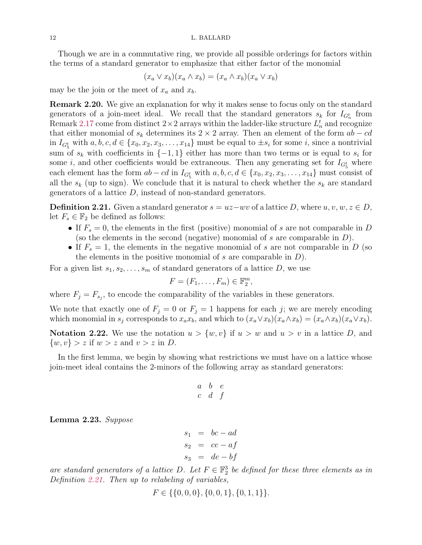Though we are in a commutative ring, we provide all possible orderings for factors within the terms of a standard generator to emphasize that either factor of the monomial

$$
(x_a \vee x_b)(x_a \wedge x_b) = (x_a \wedge x_b)(x_a \vee x_b)
$$

may be the join or the meet of  $x_a$  and  $x_b$ .

<span id="page-11-0"></span>Remark 2.20. We give an explanation for why it makes sense to focus only on the standard generators of a join-meet ideal. We recall that the standard generators  $s_k$  for  $I_{G_n^t}$  from Remark [2.17](#page-9-2) come from distinct  $2 \times 2$  arrays within the ladder-like structure  $L_n^t$  and recognize that either monomial of  $s_k$  determines its 2 × 2 array. Then an element of the form  $ab - cd$ in  $I_{G_5^t}$  with  $a, b, c, d \in \{x_0, x_2, x_3, \ldots, x_{14}\}$  must be equal to  $\pm s_i$  for some *i*, since a nontrivial sum of  $s_k$  with coefficients in  $\{-1,1\}$  either has more than two terms or is equal to  $s_i$  for some *i*, and other coefficients would be extraneous. Then any generating set for  $I_{G_5^t}$  where each element has the form  $ab - cd$  in  $I_{G_5^t}$  with  $a, b, c, d \in \{x_0, x_2, x_3, \ldots, x_{14}\}$  must consist of all the  $s_k$  (up to sign). We conclude that it is natural to check whether the  $s_k$  are standard generators of a lattice  $D$ , instead of non-standard generators.

<span id="page-11-1"></span>**Definition 2.21.** Given a standard generator  $s = uz-wv$  of a lattice D, where  $u, v, w, z \in D$ , let  $F_s \in \mathbb{F}_2$  be defined as follows:

- If  $F_s = 0$ , the elements in the first (positive) monomial of s are not comparable in D (so the elements in the second (negative) monomial of s are comparable in  $D$ ).
- If  $F_s = 1$ , the elements in the negative monomial of s are not comparable in D (so the elements in the positive monomial of s are comparable in  $D$ ).

For a given list  $s_1, s_2, \ldots, s_m$  of standard generators of a lattice D, we use

$$
F=(F_1,\ldots,F_m)\in\mathbb{F}_2^m,
$$

where  $F_j = F_{s_j}$ , to encode the comparability of the variables in these generators.

We note that exactly one of  $F_j = 0$  or  $F_j = 1$  happens for each j; we are merely encoding which monomial in  $s_j$  corresponds to  $x_a x_b$ , and which to  $(x_a \vee x_b)(x_a \wedge x_b) = (x_a \wedge x_b)(x_a \vee x_b)$ .

**Notation 2.22.** We use the notation  $u > \{w, v\}$  if  $u > w$  and  $u > v$  in a lattice D, and  $\{w, v\} > z$  if  $w > z$  and  $v > z$  in D.

In the first lemma, we begin by showing what restrictions we must have on a lattice whose join-meet ideal contains the 2-minors of the following array as standard generators:

$$
\begin{array}{ccc} a & b & e \\ c & d & f \end{array}
$$

<span id="page-11-2"></span>Lemma 2.23. Suppose

$$
s_1 = bc - ad
$$
  
\n
$$
s_2 = ce - af
$$
  
\n
$$
s_3 = de - bf
$$

are standard generators of a lattice D. Let  $F \in \mathbb{F}_2^3$  be defined for these three elements as in Definition [2.21.](#page-11-1) Then up to relabeling of variables,

$$
F \in \{ \{0, 0, 0\}, \{0, 0, 1\}, \{0, 1, 1\} \}.
$$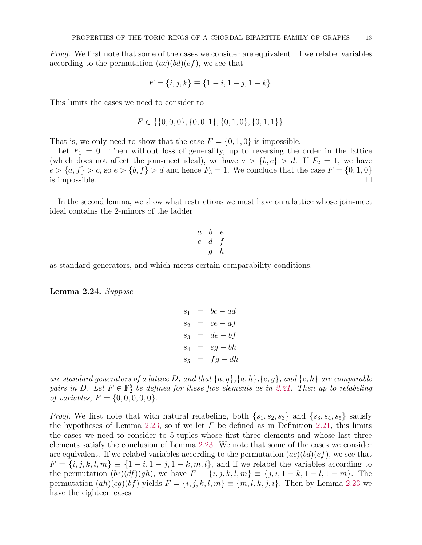Proof. We first note that some of the cases we consider are equivalent. If we relabel variables according to the permutation  $(ac)(bd)(ef)$ , we see that

$$
F = \{i, j, k\} \equiv \{1 - i, 1 - j, 1 - k\}.
$$

This limits the cases we need to consider to

$$
F \in \{ \{0, 0, 0\}, \{0, 0, 1\}, \{0, 1, 0\}, \{0, 1, 1\} \}.
$$

That is, we only need to show that the case  $F = \{0, 1, 0\}$  is impossible.

Let  $F_1 = 0$ . Then without loss of generality, up to reversing the order in the lattice (which does not affect the join-meet ideal), we have  $a > \{b, c\} > d$ . If  $F_2 = 1$ , we have  $e > \{a, f\} > c$ , so  $e > \{b, f\} > d$  and hence  $F_3 = 1$ . We conclude that the case  $F = \{0, 1, 0\}$  is impossible. is impossible.  $\Box$ 

In the second lemma, we show what restrictions we must have on a lattice whose join-meet ideal contains the 2-minors of the ladder

$$
\begin{array}{ccccc}\n a & b & e \\
 c & d & f \\
 g & h\n\end{array}
$$

as standard generators, and which meets certain comparability conditions.

<span id="page-12-0"></span>Lemma 2.24. Suppose

$$
s_1 = bc - ad
$$
  
\n
$$
s_2 = ce - af
$$
  
\n
$$
s_3 = de - bf
$$
  
\n
$$
s_4 = eg - bh
$$
  
\n
$$
s_5 = fg - dh
$$

are standard generators of a lattice D, and that  $\{a, g\}$ ,  $\{a, h\}$ ,  $\{c, g\}$ , and  $\{c, h\}$  are comparable pairs in D. Let  $F \in \mathbb{F}_2^5$  be defined for these five elements as in [2.21.](#page-11-1) Then up to relabeling of variables,  $F = \{0, 0, 0, 0, 0\}.$ 

*Proof.* We first note that with natural relabeling, both  $\{s_1, s_2, s_3\}$  and  $\{s_3, s_4, s_5\}$  satisfy the hypotheses of Lemma [2.23,](#page-11-2) so if we let F be defined as in Definition [2.21,](#page-11-1) this limits the cases we need to consider to 5-tuples whose first three elements and whose last three elements satisfy the conclusion of Lemma [2.23.](#page-11-2) We note that some of the cases we consider are equivalent. If we relabel variables according to the permutation  $(ac)(bd)(ef)$ , we see that  $F = \{i, j, k, l, m\} \equiv \{1 - i, 1 - j, 1 - k, m, l\}$ , and if we relabel the variables according to the permutation  $(be)(df)(gh)$ , we have  $F = \{i, j, k, l, m\} \equiv \{j, i, 1 - k, 1 - l, 1 - m\}$ . The permutation  $(ah)(cg)(bf)$  yields  $F = \{i, j, k, l, m\} \equiv \{m, l, k, j, i\}$ . Then by Lemma [2.23](#page-11-2) we have the eighteen cases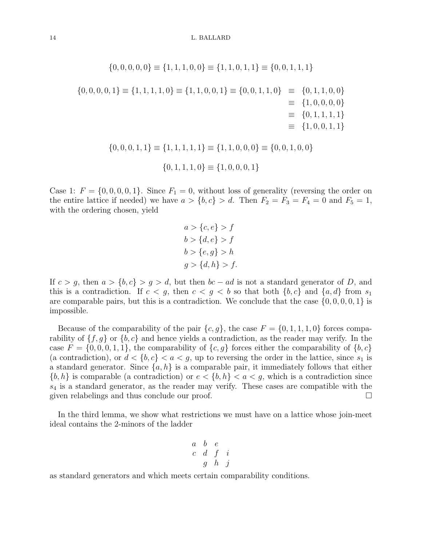$$
\{0, 0, 0, 0, 0\} \equiv \{1, 1, 1, 0, 0\} \equiv \{1, 1, 0, 1, 1\} \equiv \{0, 0, 1, 1, 1\}
$$
  

$$
\{0, 0, 0, 0, 1\} \equiv \{1, 1, 1, 1, 0\} \equiv \{1, 1, 0, 0, 1\} \equiv \{0, 0, 1, 1, 0\} \equiv \{0, 1, 1, 0, 0\} \equiv \{1, 0, 0, 0, 0\} \equiv \{1, 0, 0, 0, 1, 1\} \equiv \{1, 0, 0, 1, 1\} \equiv \{1, 1, 1, 1, 1\} \equiv \{1, 1, 0, 0, 0\} \equiv \{0, 0, 1, 0, 0\} \equiv \{0, 1, 1, 1, 1, 0\} \equiv \{1, 0, 0, 0, 1\}
$$
  

$$
\{0, 1, 1, 1, 1, 0\} \equiv \{1, 0, 0, 0, 1\}
$$

Case 1:  $F = \{0, 0, 0, 0, 1\}$ . Since  $F_1 = 0$ , without loss of generality (reversing the order on the entire lattice if needed) we have  $a > \{b, c\} > d$ . Then  $F_2 = F_3 = F_4 = 0$  and  $F_5 = 1$ , with the ordering chosen, yield

$$
a > \{c, e\} > f
$$
  
\n
$$
b > \{d, e\} > f
$$
  
\n
$$
b > \{e, g\} > h
$$
  
\n
$$
g > \{d, h\} > f.
$$

If  $c > g$ , then  $a > \{b, c\} > g > d$ , but then  $bc - ad$  is not a standard generator of D, and this is a contradiction. If  $c < g$ , then  $c < g < b$  so that both  $\{b, c\}$  and  $\{a, d\}$  from  $s_1$ are comparable pairs, but this is a contradiction. We conclude that the case  $\{0, 0, 0, 0, 1\}$  is impossible.

Because of the comparability of the pair  $\{c, g\}$ , the case  $F = \{0, 1, 1, 1, 0\}$  forces comparability of  $\{f, g\}$  or  $\{b, c\}$  and hence yields a contradiction, as the reader may verify. In the case  $F = \{0, 0, 0, 1, 1\}$ , the comparability of  $\{c, g\}$  forces either the comparability of  $\{b, c\}$ (a contradiction), or  $d < \{b, c\} < a < g$ , up to reversing the order in the lattice, since  $s_1$  is a standard generator. Since  $\{a, h\}$  is a comparable pair, it immediately follows that either  ${b, h}$  is comparable (a contradiction) or  $e < {b, h} < a < g$ , which is a contradiction since  $s_4$  is a standard generator, as the reader may verify. These cases are compatible with the given relabelings and thus conclude our proof.

In the third lemma, we show what restrictions we must have on a lattice whose join-meet ideal contains the 2-minors of the ladder

$$
\begin{array}{ccccc}\n a & b & e \\
 c & d & f & i \\
 g & h & j\n\end{array}
$$

as standard generators and which meets certain comparability conditions.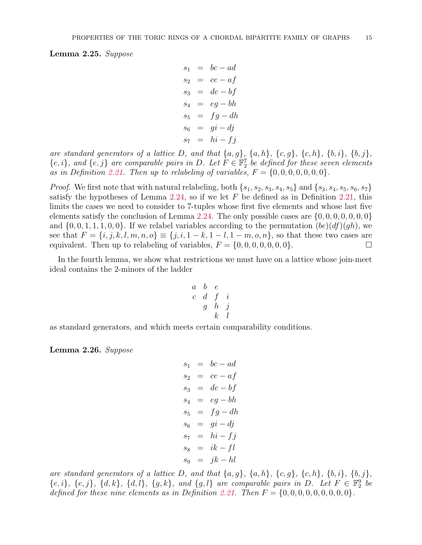<span id="page-14-0"></span>Lemma 2.25. Suppose

```
s_1 = bc - ads_2 = ce - afs_3 = de - bfs_4 = eg - bhs_5 = fg - dhs_6 = qi - djs_7 = hi - fi
```
are standard generators of a lattice D, and that  $\{a, g\}$ ,  $\{a, h\}$ ,  $\{c, g\}$ ,  $\{c, h\}$ ,  $\{b, i\}$ ,  $\{b, j\}$ ,  ${e, i}$ , and  ${e, j}$  are comparable pairs in D. Let  $F \in \mathbb{F}_2^7$  be defined for these seven elements as in Definition [2.21.](#page-11-1) Then up to relabeling of variables,  $F = \{0, 0, 0, 0, 0, 0, 0\}.$ 

*Proof.* We first note that with natural relabeling, both  $\{s_1, s_2, s_3, s_4, s_5\}$  and  $\{s_3, s_4, s_5, s_6, s_7\}$ satisfy the hypotheses of Lemma [2.24,](#page-12-0) so if we let  $F$  be defined as in Definition [2.21,](#page-11-1) this limits the cases we need to consider to 7-tuples whose first five elements and whose last five elements satisfy the conclusion of Lemma [2.24.](#page-12-0) The only possible cases are  $\{0, 0, 0, 0, 0, 0, 0\}$ and  $\{0, 0, 1, 1, 1, 0, 0\}$ . If we relabel variables according to the permutation  $(be)(df)(gh)$ , we see that  $F = \{i, j, k, l, m, n, o\} \equiv \{j, i, 1 - k, 1 - l, 1 - m, o, n\}$ , so that these two cases are equivalent. Then up to relabeling of variables,  $F = \{0, 0, 0, 0, 0, 0\}$ . equivalent. Then up to relabeling of variables,  $F = \{0, 0, 0, 0, 0, 0, 0\}.$ 

In the fourth lemma, we show what restrictions we must have on a lattice whose join-meet ideal contains the 2-minors of the ladder

$$
\begin{array}{ccccc} a & b & e \\ c & d & f & i \\ g & h & j \\ k & l \end{array}
$$

as standard generators, and which meets certain comparability conditions.

<span id="page-14-1"></span>Lemma 2.26. Suppose

$$
s_1 = bc - ad
$$
  
\n
$$
s_2 = ce - af
$$
  
\n
$$
s_3 = de - bf
$$
  
\n
$$
s_4 = eg - bh
$$
  
\n
$$
s_5 = fg - dh
$$
  
\n
$$
s_6 = gi - dj
$$
  
\n
$$
s_7 = hi - fj
$$
  
\n
$$
s_8 = ik - fl
$$
  
\n
$$
s_9 = jk - hl
$$

are standard generators of a lattice D, and that  $\{a, g\}$ ,  $\{a, h\}$ ,  $\{c, g\}$ ,  $\{c, h\}$ ,  $\{b, i\}$ ,  $\{b, j\}$ ,  $\{e, i\}, \{e, j\}, \{d, k\}, \{d, l\}, \{g, k\}, \text{ and } \{g, l\} \text{ are comparable pairs in } D.$  Let  $F \in \mathbb{F}_2^9$  be defined for these nine elements as in Definition [2.21.](#page-11-1) Then  $F = \{0, 0, 0, 0, 0, 0, 0, 0, 0\}$ .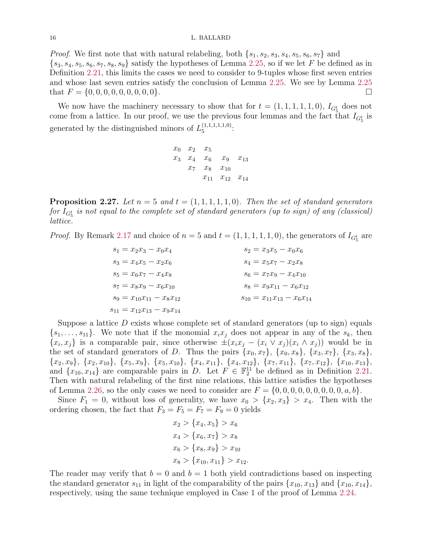#### 16 L. BALLARD

*Proof.* We first note that with natural relabeling, both  $\{s_1, s_2, s_3, s_4, s_5, s_6, s_7\}$  and  $\{s_3, s_4, s_5, s_6, s_7, s_8, s_9\}$  satisfy the hypotheses of Lemma [2.25,](#page-14-0) so if we let F be defined as in Definition [2.21,](#page-11-1) this limits the cases we need to consider to 9-tuples whose first seven entries and whose last seven entries satisfy the conclusion of Lemma [2.25.](#page-14-0) We see by Lemma [2.25](#page-14-0) that  $F = \{0, 0, 0, 0, 0, 0, 0, 0, 0\}.$ 

We now have the machinery necessary to show that for  $t = (1, 1, 1, 1, 1, 0)$ ,  $I_{G_5^t}$  does not come from a lattice. In our proof, we use the previous four lemmas and the fact that  $I_{G_5^t}$  is generated by the distinguished minors of  $L_5^{(1,1,1,1,1,0)}$  $\frac{(1,1,1,1,1,1,0)}{5}$ 

$$
\begin{array}{cccccc} x_0 & x_2 & x_5 \\ x_3 & x_4 & x_6 & x_9 & x_{13} \\ & x_7 & x_8 & x_{10} & \\ & x_{11} & x_{12} & x_{14} \end{array}
$$

**Proposition 2.27.** Let  $n = 5$  and  $t = (1, 1, 1, 1, 1, 0)$ . Then the set of standard generators for  $I_{G_5^t}$  is not equal to the complete set of standard generators (up to sign) of any (classical) lattice.

*Proof.* By Remark [2.17](#page-9-2) and choice of  $n = 5$  and  $t = (1, 1, 1, 1, 1, 0)$ , the generators of  $I_{G_5^t}$  are

| $s_1 = x_2x_3 - x_0x_4$             | $s_2 = x_3x_5 - x_0x_6$             |
|-------------------------------------|-------------------------------------|
| $s_3 = x_4x_5 - x_2x_6$             | $s_4 = x_5x_7 - x_2x_8$             |
| $s_5 = x_6x_7 - x_4x_8$             | $s_6 = x_7x_9 - x_4x_{10}$          |
| $s_7 = x_8x_9 - x_6x_{10}$          | $s_8 = x_9x_{11} - x_6x_{12}$       |
| $s_9 = x_{10}x_{11} - x_8x_{12}$    | $s_{10} = x_{11}x_{13} - x_6x_{14}$ |
| $s_{11} = x_{12}x_{13} - x_9x_{14}$ | $s_{12} = x_{11}x_{13} - x_6x_{14}$ |

Suppose a lattice  $D$  exists whose complete set of standard generators (up to sign) equals  $\{s_1, \ldots, s_{11}\}.$  We note that if the monomial  $x_ix_j$  does not appear in any of the  $s_k$ , then  $\{x_i, x_j\}$  is a comparable pair, since otherwise  $\pm (x_i x_j - (x_i \vee x_j)(x_i \wedge x_j))$  would be in the set of standard generators of D. Thus the pairs  $\{x_0, x_7\}$ ,  $\{x_0, x_8\}$ ,  $\{x_3, x_7\}$ ,  $\{x_3, x_8\}$ ,  ${x_2, x_9}, {x_2, x_{10}}, {x_3, x_{10}}, {x_5, x_9}, {x_5, x_{10}}, {x_4, x_{11}}, {x_4, x_{12}}, {x_7, x_{11}}, {x_7, x_{12}}, {x_{10}, x_{13}},$ and  $\{x_{10}, x_{14}\}$  are comparable pairs in D. Let  $F \in \mathbb{F}_2^{11}$  be defined as in Definition [2.21.](#page-11-1) Then with natural relabeling of the first nine relations, this lattice satisfies the hypotheses of Lemma [2.26,](#page-14-1) so the only cases we need to consider are  $F = \{0, 0, 0, 0, 0, 0, 0, 0, 0, a, b\}.$ 

Since  $F_1 = 0$ , without loss of generality, we have  $x_0 > \{x_2, x_3\} > x_4$ . Then with the ordering chosen, the fact that  $F_3 = F_5 = F_7 = F_9 = 0$  yields

$$
x_2 > \{x_4, x_5\} > x_6
$$
  
\n
$$
x_4 > \{x_6, x_7\} > x_8
$$
  
\n
$$
x_6 > \{x_8, x_9\} > x_{10}
$$
  
\n
$$
x_8 > \{x_{10}, x_{11}\} > x_{12}.
$$

The reader may verify that  $b = 0$  and  $b = 1$  both yield contradictions based on inspecting the standard generator  $s_{11}$  in light of the comparability of the pairs  $\{x_{10}, x_{13}\}$  and  $\{x_{10}, x_{14}\},$ respectively, using the same technique employed in Case 1 of the proof of Lemma [2.24.](#page-12-0)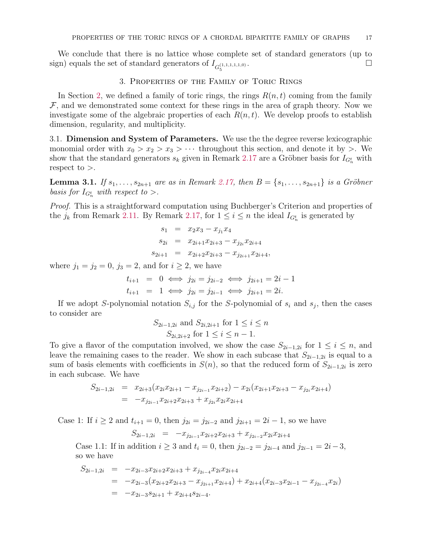5

<span id="page-16-0"></span>We conclude that there is no lattice whose complete set of standard generators (up to sign) equals the set of standard generators of  $I_{G_5^{(1,1,1,1,1,1,0)}}$ .

### 3. Properties of the Family of Toric Rings

In Section [2,](#page-2-0) we defined a family of toric rings, the rings  $R(n, t)$  coming from the family  $F$ , and we demonstrated some context for these rings in the area of graph theory. Now we investigate some of the algebraic properties of each  $R(n, t)$ . We develop proofs to establish dimension, regularity, and multiplicity.

3.1. Dimension and System of Parameters. We use the the degree reverse lexicographic monomial order with  $x_0 > x_2 > x_3 > \cdots$  throughout this section, and denote it by  $>$ . We show that the standard generators  $s_k$  given in Remark [2.17](#page-9-2) are a Gröbner basis for  $I_{G_n^t}$  with respect to  $>$ .

**Lemma 3.1.** If  $s_1, ..., s_{2n+1}$  are as in Remark [2.17,](#page-9-2) then  $B = \{s_1, ..., s_{2n+1}\}$  is a Gröbner basis for  $I_{G_n^t}$  with respect to  $\gt$ .

Proof. This is a straightforward computation using Buchberger's Criterion and properties of the  $j_k$  from Remark [2.11.](#page-7-2) By Remark [2.17,](#page-9-2) for  $1 \leq i \leq n$  the ideal  $I_{G_n^t}$  is generated by

$$
s_1 = x_2x_3 - x_{j_1}x_4
$$
  
\n
$$
s_{2i} = x_{2i+1}x_{2i+3} - x_{j_{2i}}x_{2i+4}
$$
  
\n
$$
s_{2i+1} = x_{2i+2}x_{2i+3} - x_{j_{2i+1}}x_{2i+4},
$$

where  $j_1 = j_2 = 0$ ,  $j_3 = 2$ , and for  $i \ge 2$ , we have

$$
t_{i+1} = 0 \iff j_{2i} = j_{2i-2} \iff j_{2i+1} = 2i - 1
$$
  

$$
t_{i+1} = 1 \iff j_{2i} = j_{2i-1} \iff j_{2i+1} = 2i.
$$

If we adopt S-polynomial notation  $S_{i,j}$  for the S-polynomial of  $s_i$  and  $s_j$ , then the cases to consider are

$$
S_{2i-1,2i}
$$
 and  $S_{2i,2i+1}$  for  $1 \le i \le n$   
 $S_{2i,2i+2}$  for  $1 \le i \le n-1$ .

To give a flavor of the computation involved, we show the case  $S_{2i-1,2i}$  for  $1 \leq i \leq n$ , and leave the remaining cases to the reader. We show in each subcase that  $S_{2i-1,2i}$  is equal to a sum of basis elements with coefficients in  $S(n)$ , so that the reduced form of  $S_{2i-1,2i}$  is zero in each subcase. We have

$$
S_{2i-1,2i} = x_{2i+3}(x_{2i}x_{2i+1} - x_{j_{2i-1}}x_{2i+2}) - x_{2i}(x_{2i+1}x_{2i+3} - x_{j_{2i}}x_{2i+4})
$$
  
= 
$$
-x_{j_{2i-1}}x_{2i+2}x_{2i+3} + x_{j_{2i}}x_{2i}x_{2i+4}
$$

Case 1: If  $i \ge 2$  and  $t_{i+1} = 0$ , then  $j_{2i} = j_{2i-2}$  and  $j_{2i+1} = 2i - 1$ , so we have

 $S_{2i-1,2i} = -x_{j_{2i-1}}x_{2i+2}x_{2i+3} + x_{j_{2i-2}}x_{2i}x_{2i+4}$ 

Case 1.1: If in addition  $i \geq 3$  and  $t_i = 0$ , then  $j_{2i-2} = j_{2i-4}$  and  $j_{2i-1} = 2i-3$ , so we have

$$
S_{2i-1,2i} = -x_{2i-3}x_{2i+2}x_{2i+3} + x_{j_{2i-4}}x_{2i}x_{2i+4}
$$
  
= 
$$
-x_{2i-3}(x_{2i+2}x_{2i+3} - x_{j_{2i+1}}x_{2i+4}) + x_{2i+4}(x_{2i-3}x_{2i-1} - x_{j_{2i-4}}x_{2i})
$$
  
= 
$$
-x_{2i-3}s_{2i+1} + x_{2i+4}s_{2i-4}.
$$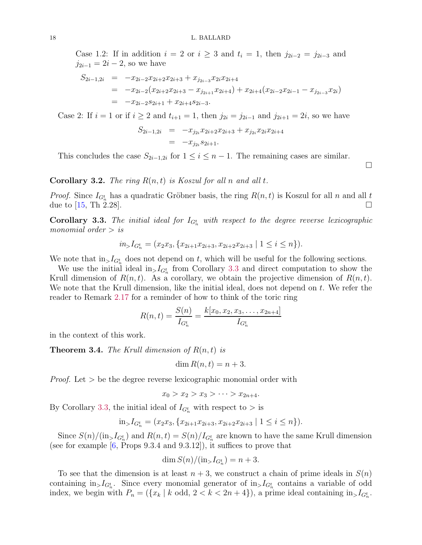Case 1.2: If in addition  $i = 2$  or  $i \geq 3$  and  $t_i = 1$ , then  $j_{2i-2} = j_{2i-3}$  and  $j_{2i-1} = 2i - 2$ , so we have

$$
S_{2i-1,2i} = -x_{2i-2}x_{2i+2}x_{2i+3} + x_{j_{2i-3}}x_{2i}x_{2i+4}
$$
  
= 
$$
-x_{2i-2}(x_{2i+2}x_{2i+3} - x_{j_{2i+1}}x_{2i+4}) + x_{2i+4}(x_{2i-2}x_{2i-1} - x_{j_{2i-3}}x_{2i})
$$
  
= 
$$
-x_{2i-2}s_{2i+1} + x_{2i+4}s_{2i-3}.
$$

Case 2: If  $i = 1$  or if  $i \ge 2$  and  $t_{i+1} = 1$ , then  $j_{2i} = j_{2i-1}$  and  $j_{2i+1} = 2i$ , so we have

$$
S_{2i-1,2i} = -x_{j_{2i}}x_{2i+2}x_{2i+3} + x_{j_{2i}}x_{2i}x_{2i+4}
$$
  
= 
$$
-x_{j_{2i}}s_{2i+1}.
$$

This concludes the case  $S_{2i-1,2i}$  for  $1 \leq i \leq n-1$ . The remaining cases are similar.

**Corollary 3.2.** The ring  $R(n, t)$  is Koszul for all n and all t.

*Proof.* Since  $I_{G_n^t}$  has a quadratic Gröbner basis, the ring  $R(n,t)$  is Koszul for all n and all t due to  $[15, Th \ 2.28]$ .

<span id="page-17-1"></span>**Corollary 3.3.** The initial ideal for  $I_{G_n^t}$  with respect to the degree reverse lexicographic monomial order  $>$  is

$$
in_{>}I_{G_n^t} = (x_2x_3, \{x_{2i+1}x_{2i+3}, x_{2i+2}x_{2i+3} \mid 1 \le i \le n\}).
$$

We note that  $\text{in}_{\geq} I_{G_n^t}$  does not depend on t, which will be useful for the following sections.

We use the initial ideal  $\text{in}_{> I_{G_n^t}}$  from Corollary [3.3](#page-17-1) and direct computation to show the Krull dimension of  $R(n, t)$ . As a corollary, we obtain the projective dimension of  $R(n, t)$ . We note that the Krull dimension, like the initial ideal, does not depend on t. We refer the reader to Remark [2.17](#page-9-2) for a reminder of how to think of the toric ring

$$
R(n,t) = \frac{S(n)}{I_{G_n^t}} = \frac{k[x_0, x_2, x_3, \dots, x_{2n+4}]}{I_{G_n^t}}
$$

in the context of this work.

<span id="page-17-0"></span>**Theorem 3.4.** The Krull dimension of  $R(n, t)$  is

$$
\dim R(n,t) = n+3.
$$

*Proof.* Let  $>$  be the degree reverse lexicographic monomial order with

$$
x_0 > x_2 > x_3 > \cdots > x_{2n+4}.
$$

By Corollary [3.3,](#page-17-1) the initial ideal of  $I_{G_n^t}$  with respect to  $>$  is

$$
\text{in}_> I_{G_n^t} = (x_2x_3, \{x_{2i+1}x_{2i+3}, x_{2i+2}x_{2i+3} \mid 1 \le i \le n\}).
$$

Since  $S(n)/(\text{in}_{>}I_{G_n^t})$  and  $R(n,t) = S(n)/I_{G_n^t}$  are known to have the same Krull dimension (see for example  $[6,$  Props 9.3.4 and 9.3.12]), it suffices to prove that

$$
\dim S(n)/(\text{in}_>I_{G_n^t})=n+3.
$$

To see that the dimension is at least  $n + 3$ , we construct a chain of prime ideals in  $S(n)$ containing  $\text{in}_{>}I_{G_n^t}$ . Since every monomial generator of  $\text{in}_{>}I_{G_n^t}$  contains a variable of odd index, we begin with  $P_n = (\{x_k \mid k \text{ odd}, 2 < k < 2n+4\})$ , a prime ideal containing  $\text{in}_{>}I_{G_n^t}$ .

 $\Box$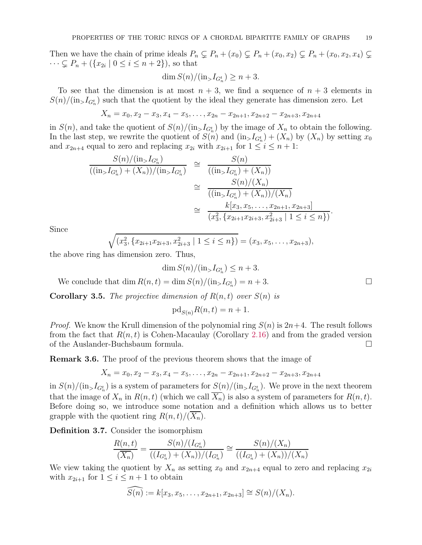Then we have the chain of prime ideals  $P_n \subsetneq P_n + (x_0) \subsetneq P_n + (x_0, x_2) \subsetneq P_n + (x_0, x_2, x_4) \subsetneq$  $\cdots \subsetneq P_n + (\{x_{2i} \mid 0 \leq i \leq n+2\}),$  so that

$$
\dim S(n)/(\text{in}_> I_{G_n^t}) \ge n+3.
$$

To see that the dimension is at most  $n + 3$ , we find a sequence of  $n + 3$  elements in  $S(n)/(\text{in}_{>}I_{G_n^t})$  such that the quotient by the ideal they generate has dimension zero. Let

$$
X_n = x_0, x_2 - x_3, x_4 - x_5, \dots, x_{2n} - x_{2n+1}, x_{2n+2} - x_{2n+3}, x_{2n+4}
$$

in  $S(n)$ , and take the quotient of  $S(n)/(\text{in}_{>}I_{G_n^t})$  by the image of  $X_n$  to obtain the following. In the last step, we rewrite the quotient of  $S(n)$  and  $(\text{in}_> I_{G_n^t}) + (X_n)$  by  $(X_n)$  by setting  $x_0$ and  $x_{2n+4}$  equal to zero and replacing  $x_{2i}$  with  $x_{2i+1}$  for  $1 \leq i \leq n+1$ :

$$
\frac{S(n)/(\text{in}_{>}I_{G_n^t})}{((\text{in}_{>}I_{G_n^t}) + (X_n))/(\text{in}_{>}I_{G_n^t})} \cong \frac{S(n)}{((\text{in}_{>}I_{G_n^t}) + (X_n))}
$$
\n
$$
\cong \frac{S(n)/(X_n)}{((\text{in}_{>}I_{G_n^t}) + (X_n))/(X_n)}
$$
\n
$$
\cong \frac{k[x_3, x_5, \dots, x_{2n+1}, x_{2n+3}]}{(x_3^2, \{x_{2i+1}x_{2i+3}, x_{2i+3}^2 \mid 1 \le i \le n\})}
$$

Since

$$
\sqrt{(x_3^2, \{x_{2i+1}x_{2i+3}, x_{2i+3}^2 \mid 1 \le i \le n\})} = (x_3, x_5, \dots, x_{2n+3}),
$$

the above ring has dimension zero. Thus,

$$
\dim S(n)/(\text{in}_> I_{G_n^t}) \le n+3.
$$

We conclude that  $\dim R(n,t) = \dim S(n)/(\text{in}_>I_{G_n^t}) = n+3.$ 

<span id="page-18-0"></span>**Corollary 3.5.** The projective dimension of  $R(n, t)$  over  $S(n)$  is

$$
\mathrm{pd}_{S(n)}R(n,t) = n+1.
$$

*Proof.* We know the Krull dimension of the polynomial ring  $S(n)$  is  $2n+4$ . The result follows from the fact that  $R(n, t)$  is Cohen-Macaulay (Corollary [2.16\)](#page-9-0) and from the graded version of the Auslander-Buchsbaum formula.

<span id="page-18-2"></span>**Remark 3.6.** The proof of the previous theorem shows that the image of

$$
X_n = x_0, x_2 - x_3, x_4 - x_5, \dots, x_{2n} - x_{2n+1}, x_{2n+2} - x_{2n+3}, x_{2n+4}
$$

in  $S(n)/(\text{in}_>I_{G_n^t})$  is a system of parameters for  $S(n)/(\text{in}_>I_{G_n^t})$ . We prove in the next theorem that the image of  $X_n$  in  $R(n, t)$  (which we call  $\overline{X_n}$ ) is also a system of parameters for  $R(n, t)$ . Before doing so, we introduce some notation and a definition which allows us to better grapple with the quotient ring  $R(n, t)/(X_n)$ .

<span id="page-18-1"></span>Definition 3.7. Consider the isomorphism

$$
\frac{R(n,t)}{(\overline{X_n})} = \frac{S(n)/(I_{G_n^t})}{((I_{G_n^t}) + (X_n))/(I_{G_n^t})} \cong \frac{S(n)/(X_n)}{((I_{G_n^t}) + (X_n))/(X_n)}
$$

We view taking the quotient by  $X_n$  as setting  $x_0$  and  $x_{2n+4}$  equal to zero and replacing  $x_{2i}$ with  $x_{2i+1}$  for  $1 \leq i \leq n+1$  to obtain

$$
\widehat{S(n)} := k[x_3, x_5, \dots, x_{2n+1}, x_{2n+3}] \cong S(n)/(X_n).
$$

.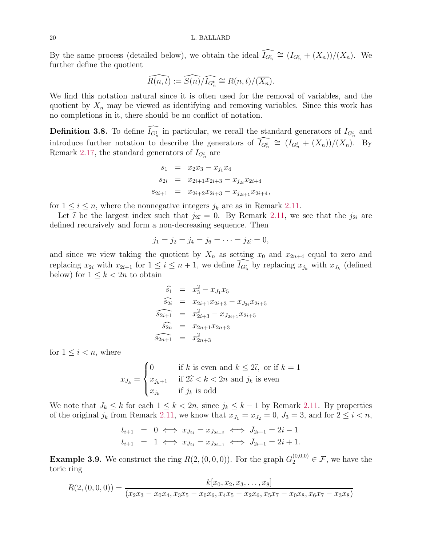By the same process (detailed below), we obtain the ideal  $I_{G_n^t} \cong (I_{G_n^t} + (X_n))/(X_n)$ . We further define the quotient

$$
\widehat{R(n,t)} := \widehat{S(n)}/\widehat{I_{G_n^t}} \cong R(n,t)/(\overline{X_n}).
$$

We find this notation natural since it is often used for the removal of variables, and the quotient by  $X_n$  may be viewed as identifying and removing variables. Since this work has no completions in it, there should be no conflict of notation.

<span id="page-19-0"></span>**Definition 3.8.** To define  $I_{G_n^t}$  in particular, we recall the standard generators of  $I_{G_n^t}$  and introduce further notation to describe the generators of  $I_{G_n^t} \cong (I_{G_n^t} + (X_n))/(X_n)$ . By Remark [2.17,](#page-9-2) the standard generators of  $I_{G_n^t}$  are

$$
s_1 = x_2x_3 - x_{j_1}x_4
$$
  
\n
$$
s_{2i} = x_{2i+1}x_{2i+3} - x_{j_{2i}}x_{2i+4}
$$
  
\n
$$
s_{2i+1} = x_{2i+2}x_{2i+3} - x_{j_{2i+1}}x_{2i+4},
$$

for  $1 \leq i \leq n$ , where the nonnegative integers  $j_k$  are as in Remark [2.11.](#page-7-2)

Let  $\hat{\iota}$  be the largest index such that  $j_{2\hat{\iota}} = 0$ . By Remark [2.11,](#page-7-2) we see that the  $j_{2i}$  are defined recursively and form a non-decreasing sequence. Then

$$
j_1 = j_2 = j_4 = j_6 = \cdots = j_{2\widehat{\iota}} = 0,
$$

and since we view taking the quotient by  $X_n$  as setting  $x_0$  and  $x_{2n+4}$  equal to zero and replacing  $x_{2i}$  with  $x_{2i+1}$  for  $1 \leq i \leq n+1$ , we define  $I_{G_n^t}$  by replacing  $x_{j_k}$  with  $x_{J_k}$  (defined below) for  $1 \leq k < 2n$  to obtain

$$
\widehat{s}_1 = x_3^2 - x_{J_1}x_5
$$
\n
$$
\widehat{s}_{2i} = x_{2i+1}x_{2i+3} - x_{J_{2i}}x_{2i+5}
$$
\n
$$
\widehat{s}_{2i+1} = x_{2i+3}^2 - x_{J_{2i+1}}x_{2i+5}
$$
\n
$$
\widehat{s}_{2n} = x_{2n+1}x_{2n+3}
$$
\n
$$
\widehat{s_{2n+1}} = x_{2n+3}^2
$$

for  $1 \leq i < n$ , where

$$
x_{J_k} = \begin{cases} 0 & \text{if } k \text{ is even and } k \le 2\hat{\iota}, \text{ or if } k = 1\\ x_{j_k+1} & \text{if } 2\hat{\iota} < k < 2n \text{ and } j_k \text{ is even} \\ x_{j_k} & \text{if } j_k \text{ is odd} \end{cases}
$$

We note that  $J_k \leq k$  for each  $1 \leq k < 2n$ , since  $j_k \leq k-1$  by Remark [2.11.](#page-7-2) By properties of the original  $j_k$  from Remark [2.11,](#page-7-2) we know that  $x_{J_1} = x_{J_2} = 0$ ,  $J_3 = 3$ , and for  $2 \le i < n$ ,

$$
t_{i+1} = 0 \iff x_{J_{2i}} = x_{J_{2i-2}} \iff J_{2i+1} = 2i - 1
$$
  

$$
t_{i+1} = 1 \iff x_{J_{2i}} = x_{J_{2i-1}} \iff J_{2i+1} = 2i + 1.
$$

**Example 3.9.** We construct the ring  $R(2, (0, 0, 0))$ . For the graph  $G_2^{(0,0,0)} \in \mathcal{F}$ , we have the toric ring

$$
R(2, (0, 0, 0)) = \frac{k[x_0, x_2, x_3, \dots, x_8]}{(x_2x_3 - x_0x_4, x_3x_5 - x_0x_6, x_4x_5 - x_2x_6, x_5x_7 - x_0x_8, x_6x_7 - x_3x_8)}
$$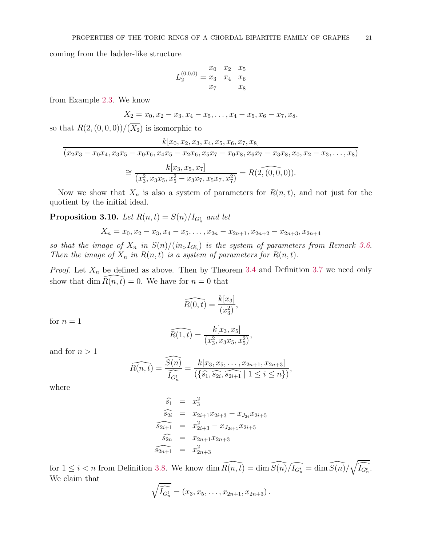coming from the ladder-like structure

$$
L_2^{(0,0,0)} = \begin{matrix} x_0 & x_2 & x_5 \\ x_3 & x_4 & x_6 \\ x_7 & x_8 \end{matrix}
$$

from Example [2.3.](#page-4-1) We know

$$
X_2 = x_0, x_2 - x_3, x_4 - x_5, \dots, x_4 - x_5, x_6 - x_7, x_8,
$$

so that  $R(2, (0, 0, 0)) / (\overline{X_2})$  is isomorphic to

$$
\frac{k[x_0, x_2, x_3, x_4, x_5, x_6, x_7, x_8]}{(x_2x_3 - x_0x_4, x_3x_5 - x_0x_6, x_4x_5 - x_2x_6, x_5x_7 - x_0x_8, x_6x_7 - x_3x_8, x_0, x_2 - x_3, \dots, x_8)}
$$

$$
\approx \frac{k[x_3, x_5, x_7]}{(x_3^2, x_3x_5, x_5^2 - x_3x_7, x_5x_7, x_7^2)} = R(\widehat{2, (0, 0, 0)}).
$$

Now we show that  $X_n$  is also a system of parameters for  $R(n, t)$ , and not just for the quotient by the initial ideal.

<span id="page-20-0"></span>**Proposition 3.10.** Let  $R(n,t) = S(n)/I_{G_n^t}$  and let

$$
X_n = x_0, x_2 - x_3, x_4 - x_5, \dots, x_{2n} - x_{2n+1}, x_{2n+2} - x_{2n+3}, x_{2n+4}
$$

so that the image of  $X_n$  in  $S(n)/(in_{>}I_{G_n^t})$  is the system of parameters from Remark [3.6.](#page-18-2) Then the image of  $X_n$  in  $R(n, t)$  is a system of parameters for  $R(n, t)$ .

*Proof.* Let  $X_n$  be defined as above. Then by Theorem [3.4](#page-17-0) and Definition [3.7](#page-18-1) we need only show that dim  $\widehat{R}(n, t) = 0$ . We have for  $n = 0$  that

$$
\widehat{R(0,t)} = \frac{k[x_3]}{(x_3^2)},
$$

for  $n = 1$ 

$$
\widehat{R(1,t)} = \frac{k[x_3, x_5]}{(x_3^2, x_3x_5, x_5^2)},
$$

and for  $n > 1$ 

$$
\widehat{R(n,t)} = \frac{\widehat{S(n)}}{\widehat{I_{G_n^t}}} = \frac{k[x_3, x_5, \dots, x_{2n+1}, x_{2n+3}]}{(\{\widehat{s_1}, \widehat{s_{2i}}, \widehat{s_{2i+1}} \mid 1 \le i \le n\})},
$$

where

$$
\widehat{s}_1 = x_3^2
$$
\n
$$
\widehat{s}_{2i} = x_{2i+1}x_{2i+3} - x_{J_{2i}}x_{2i+5}
$$
\n
$$
\widehat{s}_{2i+1} = x_{2i+3}^2 - x_{J_{2i+1}}x_{2i+5}
$$
\n
$$
\widehat{s}_{2n} = x_{2n+1}x_{2n+3}
$$
\n
$$
\widehat{s}_{2n+1} = x_{2n+3}^2
$$

for  $1 \leq i < n$  from Definition [3.8.](#page-19-0) We know dim  $\widehat{R(n,t)} = \dim \widehat{S(n)}/\widehat{I_{G_n^t}} = \dim \widehat{S(n)}/\sqrt{\widehat{I_{G_n^t}}}$ . We claim that

$$
\sqrt{\widehat{I_{G_n^t}}} = (x_3, x_5, \ldots, x_{2n+1}, x_{2n+3}).
$$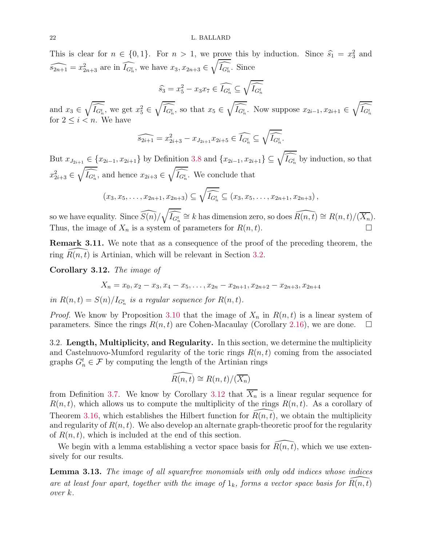This is clear for  $n \in \{0, 1\}$ . For  $n > 1$ , we prove this by induction. Since  $\widehat{s}_1 = x_3^2$  and  $\widehat{s_{2n+1}} = x_{2n+3}^2$  are in  $\widehat{I_{G_n^t}}$ , we have  $x_3, x_{2n+3} \in \sqrt{\widehat{I_{G_n^t}}}$ . Since

$$
\widehat{s_3} = x_5^2 - x_3 x_7 \in \widehat{I_{G_n^t}} \subseteq \sqrt{\widehat{I_{G_n^t}}}
$$

and  $x_3 \in \sqrt{\widehat{I_{G_n^t}}}$ , we get  $x_5^2 \in \sqrt{\widehat{I_{G_n^t}}}$ , so that  $x_5 \in \sqrt{\widehat{I_{G_n^t}}}$ . Now suppose  $x_{2i-1}, x_{2i+1} \in \sqrt{\widehat{I_{G_n^t}}}$ for  $2 \leq i < n$ . We have

$$
\widehat{s_{2i+1}} = x_{2i+3}^2 - x_{J_{2i+1}} x_{2i+5} \in \widehat{I_{G_n^t}} \subseteq \sqrt{\widehat{I_{G_n^t}}}.
$$

But  $x_{J_{2i+1}} \in \{x_{2i-1}, x_{2i+1}\}\$  by Definition [3.8](#page-19-0) and  $\{x_{2i-1}, x_{2i+1}\}\subseteq \sqrt{I_{G_n^t}}$  by induction, so that  $x_{2i+3}^2 \in \sqrt{\widehat{I_{G_n^t}}}$ , and hence  $x_{2i+3} \in \sqrt{\widehat{I_{G_n^t}}}$ . We conclude that

$$
(x_3, x_5,..., x_{2n+1}, x_{2n+3}) \subseteq \sqrt{I_{G_n^t}} \subseteq (x_3, x_5,..., x_{2n+1}, x_{2n+3}),
$$

so we have equality. Since  $\widehat{S(n)}/\sqrt{\widehat{I_{G_n^t}}} \cong k$  has dimension zero, so does  $\widehat{R(n, t)} \cong R(n, t)/(\overline{X_n})$ . Thus, the image of  $X_n$  is a system of parameters for  $R(n, t)$ .

<span id="page-21-3"></span>Remark 3.11. We note that as a consequence of the proof of the preceding theorem, the ring  $R(n, t)$  is Artinian, which will be relevant in Section [3.2.](#page-21-2)

<span id="page-21-0"></span>Corollary 3.12. The image of

$$
X_n = x_0, x_2 - x_3, x_4 - x_5, \dots, x_{2n} - x_{2n+1}, x_{2n+2} - x_{2n+3}, x_{2n+4}
$$

in  $R(n,t) = S(n)/I_{G_n^t}$  is a regular sequence for  $R(n,t)$ .

*Proof.* We know by Proposition [3.10](#page-20-0) that the image of  $X_n$  in  $R(n, t)$  is a linear system of parameters. Since the rings  $R(n, t)$  are Cohen-Macaulay (Corollary [2.16\)](#page-9-0), we are done.  $\Box$ 

<span id="page-21-2"></span>3.2. Length, Multiplicity, and Regularity. In this section, we determine the multiplicity and Castelnuovo-Mumford regularity of the toric rings  $R(n, t)$  coming from the associated graphs  $G_n^t \in \mathcal{F}$  by computing the length of the Artinian rings

$$
\widehat{R(n,t)} \cong R(n,t)/(\overline{X_n})
$$

from Definition [3.7.](#page-18-1) We know by Corollary [3.12](#page-21-0) that  $\overline{X_n}$  is a linear regular sequence for  $R(n, t)$ , which allows us to compute the multiplicity of the rings  $R(n, t)$ . As a corollary of Theorem [3.16,](#page-24-0) which establishes the Hilbert function for  $R(n, t)$ , we obtain the multiplicity and regularity of  $R(n, t)$ . We also develop an alternate graph-theoretic proof for the regularity of  $R(n, t)$ , which is included at the end of this section.

We begin with a lemma establishing a vector space basis for  $R(n, t)$ , which we use extensively for our results.

<span id="page-21-1"></span>**Lemma 3.13.** The image of all squarefree monomials with only odd indices whose indices are at least four apart, together with the image of  $1_k$ , forms a vector space basis for  $\overline{R}(n, t)$ over k.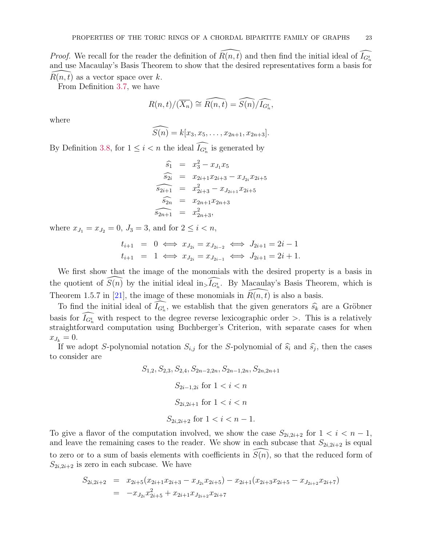*Proof.* We recall for the reader the definition of  $\widehat{R(n, t)}$  and then find the initial ideal of  $\widehat{I_{G_n^t}}$ and use Macaulay's Basis Theorem to show that the desired representatives form a basis for  $\widehat{R}(n, t)$  as a vector space over k.  $R(n, t)$  as a vector space over k.

From Definition [3.7,](#page-18-1) we have

$$
R(n,t)/(\overline{X_n}) \cong \widehat{R(n,t)} = \widehat{S(n)}/\widehat{I_{G_n^t}},
$$

where

$$
\widehat{S(n)} = k[x_3, x_5, \dots, x_{2n+1}, x_{2n+3}].
$$

By Definition [3.8,](#page-19-0) for  $1 \leq i < n$  the ideal  $I_{G_n^t}$  is generated by

$$
\widehat{s}_1 = x_3^2 - x_{J_1}x_5
$$
  
\n
$$
\widehat{s}_{2i} = x_{2i+1}x_{2i+3} - x_{J_{2i}}x_{2i+5}
$$
  
\n
$$
\widehat{s}_{2i+1} = x_{2i+3}^2 - x_{J_{2i+1}}x_{2i+5}
$$
  
\n
$$
\widehat{s}_{2n} = x_{2n+1}x_{2n+3}
$$
  
\n
$$
\widehat{s}_{2n+1} = x_{2n+3}^2,
$$

where  $x_{J_1} = x_{J_2} = 0, J_3 = 3$ , and for  $2 \le i < n$ ,

$$
t_{i+1} = 0 \iff x_{J_{2i}} = x_{J_{2i-2}} \iff J_{2i+1} = 2i - 1
$$
  

$$
t_{i+1} = 1 \iff x_{J_{2i}} = x_{J_{2i-1}} \iff J_{2i+1} = 2i + 1.
$$

We first show that the image of the monomials with the desired property is a basis in the quotient of  $\widehat{S(n)}$  by the initial ideal in  $\widehat{I_{G_n}}$ . By Macaulay's Basis Theorem, which is Theorem 1.5.7 in [\[21\]](#page-30-26), the image of these monomials in  $R(n, t)$  is also a basis.

To find the initial ideal of  $I_{G_n^t}$ , we establish that the given generators  $\widehat{s_k}$  are a Gröbner basis for  $I_{G_n^t}$  with respect to the degree reverse lexicographic order >. This is a relatively straightforward computation using Buchberger's Criterion, with separate cases for when  $x_{J_k} = 0.$ 

If we adopt S-polynomial notation  $S_{i,j}$  for the S-polynomial of  $\hat{s}_i$  and  $\hat{s}_j$ , then the cases to consider are

$$
S_{1,2}, S_{2,3}, S_{2,4}, S_{2n-2,2n}, S_{2n-1,2n}, S_{2n,2n+1}
$$

$$
S_{2i-1,2i} \text{ for } 1 < i < n
$$

$$
S_{2i,2i+1} \text{ for } 1 < i < n
$$

$$
S_{2i,2i+2} \text{ for } 1 < i < n-1.
$$

To give a flavor of the computation involved, we show the case  $S_{2i,2i+2}$  for  $1 < i < n-1$ , and leave the remaining cases to the reader. We show in each subcase that  $S_{2i,2i+2}$  is equal to zero or to a sum of basis elements with coefficients in  $S(n)$ , so that the reduced form of  $S_{2i,2i+2}$  is zero in each subcase. We have

$$
S_{2i,2i+2} = x_{2i+5}(x_{2i+1}x_{2i+3} - x_{J_{2i}}x_{2i+5}) - x_{2i+1}(x_{2i+3}x_{2i+5} - x_{J_{2i+2}}x_{2i+7})
$$
  
= 
$$
-x_{J_{2i}}x_{2i+5}^2 + x_{2i+1}x_{J_{2i+2}}x_{2i+7}
$$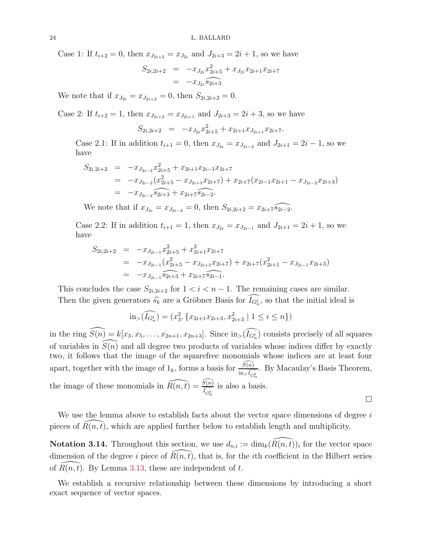Case 1: If  $t_{i+2} = 0$ , then  $x_{J_{2i+2}} = x_{J_{2i}}$  and  $J_{2i+3} = 2i + 1$ , so we have

$$
S_{2i,2i+2} = -x_{J_{2i}}x_{2i+5}^2 + x_{J_{2i}}x_{2i+1}x_{2i+7}
$$
  
= 
$$
-x_{J_{2i}}s_{2i+3}
$$

We note that if  $x_{J_{2i}} = x_{J_{2i+2}} = 0$ , then  $S_{2i,2i+2} = 0$ .

Case 2: If  $t_{i+2} = 1$ , then  $x_{J_{2i+2}} = x_{J_{2i+1}}$  and  $J_{2i+3} = 2i + 3$ , so we have

$$
S_{2i,2i+2} = -x_{J_{2i}}x_{2i+5}^2 + x_{2i+1}x_{J_{2i+1}}x_{2i+7}.
$$

Case 2.1: If in addition  $t_{i+1} = 0$ , then  $x_{J_{2i}} = x_{J_{2i-2}}$  and  $J_{2i+1} = 2i - 1$ , so we have

$$
S_{2i,2i+2} = -x_{J_{2i-2}}x_{2i+5}^2 + x_{2i+1}x_{2i-1}x_{2i+7}
$$
  
= 
$$
-x_{J_{2i-2}}(x_{2i+5}^2 - x_{J_{2i+3}}x_{2i+7}) + x_{2i+7}(x_{2i-1}x_{2i+1} - x_{J_{2i-2}}x_{2i+3})
$$
  
= 
$$
-x_{J_{2i-2}}s_{2i+3} + x_{2i+7}s_{2i-2}.
$$

We note that if  $x_{J_{2i}} = x_{J_{2i-2}} = 0$ , then  $S_{2i,2i+2} = x_{2i+7}$ 

Case 2.2: If in addition  $t_{i+1} = 1$ , then  $x_{J_{2i}} = x_{J_{2i-1}}$  and  $J_{2i+1} = 2i + 1$ , so we have

$$
S_{2i,2i+2} = -x_{J_{2i-1}}x_{2i+5}^2 + x_{2i+1}^2x_{2i+7}
$$
  
= 
$$
-x_{J_{2i-1}}(x_{2i+5}^2 - x_{J_{2i+3}}x_{2i+7}) + x_{2i+7}(x_{2i+1}^2 - x_{J_{2i-1}}x_{2i+3})
$$
  
= 
$$
-x_{J_{2i-1}}\widehat{s_{2i+3}} + x_{2i+7}\widehat{s_{2i-1}}.
$$

This concludes the case  $S_{2i,2i+2}$  for  $1 < i < n-1$ . The remaining cases are similar. Then the given generators  $\widehat{s_k}$  are a Gröbner Basis for  $I_{G_n^t}$ , so that the initial ideal is

$$
\text{in}_{>}(\widehat{I_{G_n^t}}) = (x_3^2, \{x_{2i+1}x_{2i+3}, x_{2i+3}^2 \mid 1 \le i \le n\})
$$

in the ring  $\widehat{S(n)} = k[x_3, x_5, \ldots, x_{2n+1}, x_{2n+3}]$ . Since  $\widehat{I_{G_n^t}}$  consists precisely of all squares of variables in  $\widehat{S(n)}$  and all degree two products of variables whose indices differ by exactly two, it follows that the image of the squarefree monomials whose indices are at least four apart, together with the image of  $1_k$ , forms a basis for  $\frac{\widehat{S(n)}}{\ln \widehat{I}_{G_n^t}}$ . By Macaulay's Basis Theorem, the image of these monomials in  $\widehat{R(n,t)} = \frac{\widehat{S(n)}}{\widehat{I}_{G_n^t}}$  is also a ba is also a basis.  $\Box$ 

We use the lemma above to establish facts about the vector space dimensions of degree  $i$ pieces of  $R(n, t)$ , which are applied further below to establish length and multiplicity.

<span id="page-23-0"></span>**Notation 3.14.** Throughout this section, we use  $d_{n,i} := \dim_k(\widehat{R(n, t)})_i$  for the vector space dimension of the degree i piece of  $R(n, t)$ , that is, for the ith coefficient in the Hilbert series of  $R(n, t)$ . By Lemma [3.13,](#page-21-1) these are independent of t.

We establish a recursive relationship between these dimensions by introducing a short exact sequence of vector spaces.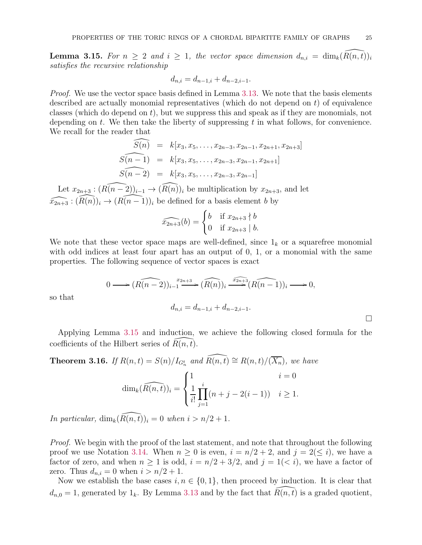<span id="page-24-1"></span>**Lemma 3.15.** For  $n \geq 2$  and  $i \geq 1$ , the vector space dimension  $d_{n,i} = \dim_k(R(n,t))_i$ satisfies the recursive relationship

$$
d_{n,i} = d_{n-1,i} + d_{n-2,i-1}.
$$

*Proof.* We use the vector space basis defined in Lemma [3.13.](#page-21-1) We note that the basis elements described are actually monomial representatives (which do not depend on  $t$ ) of equivalence classes (which do depend on  $t$ ), but we suppress this and speak as if they are monomials, not depending on t. We then take the liberty of suppressing t in what follows, for convenience. We recall for the reader that

$$
\widehat{S(n)} = k[x_3, x_5, \dots, x_{2n-3}, x_{2n-1}, x_{2n+1}, x_{2n+3}]
$$
  
\n
$$
\widehat{S(n-1)} = k[x_3, x_5, \dots, x_{2n-3}, x_{2n-1}, x_{2n+1}]
$$
  
\n
$$
\widehat{S(n-2)} = k[x_3, x_5, \dots, x_{2n-3}, x_{2n-1}]
$$

Let  $x_{2n+3}$  :  $(\widehat{R(n-2)})_{i-1} \to (\widehat{R(n)})_i$  be multiplication by  $x_{2n+3}$ , and let  $\widehat{x_{2n+3}} : (\widehat{R}(n))_i \to (\widehat{R(n-1)})_i$  be defined for a basis element b by

$$
\widehat{x_{2n+3}}(b) = \begin{cases} b & \text{if } x_{2n+3} \nmid b \\ 0 & \text{if } x_{2n+3} \mid b. \end{cases}
$$

We note that these vector space maps are well-defined, since  $1_k$  or a squarefree monomial with odd indices at least four apart has an output of  $0, 1$ , or a monomial with the same properties. The following sequence of vector spaces is exact

$$
0 \longrightarrow (\widehat{R(n-2)})_{i-1}^{x_{2n+3}} (\widehat{R(n)})_i \xrightarrow{x_{2n+3}} (\widehat{R(n-1)})_i \longrightarrow 0,
$$
  

$$
d_{n,i} = d_{n-1,i} + d_{n-2,i-1}.
$$

so that

Applying Lemma [3.15](#page-24-1) and induction, we achieve the following closed formula for the coefficients of the Hilbert series of  $R(n, t)$ .

<span id="page-24-0"></span>**Theorem 3.16.** If  $R(n,t) = S(n)/I_{G_n^t}$  and  $\widehat{R(n,t)} \cong R(n,t)/(\overline{X_n})$ , we have

$$
\dim_k(\widehat{R(n,t)})_i = \begin{cases} 1 & i = 0 \\ \frac{1}{i!} \prod_{j=1}^i (n+j-2(i-1)) & i \ge 1. \end{cases}
$$

In particular,  $\dim_k(\widehat{R(n, t)})_i = 0$  when  $i > n/2 + 1$ .

Proof. We begin with the proof of the last statement, and note that throughout the following proof we use Notation [3.14.](#page-23-0) When  $n \geq 0$  is even,  $i = n/2 + 2$ , and  $j = 2(\leq i)$ , we have a factor of zero, and when  $n \ge 1$  is odd,  $i = n/2 + 3/2$ , and  $j = 1 \le i$ , we have a factor of zero. Thus  $d_{n,i} = 0$  when  $i > n/2 + 1$ .

Now we establish the base cases  $i, n \in \{0, 1\}$ , then proceed by induction. It is clear that  $d_{n,0} = 1$ , generated by  $1_k$ . By Lemma [3.13](#page-21-1) and by the fact that  $\overline{R}(n, \overline{t})$  is a graded quotient,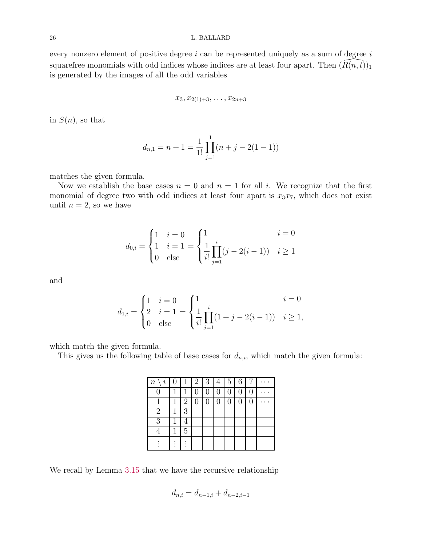every nonzero element of positive degree  $i$  can be represented uniquely as a sum of degree  $i$ squarefree monomials with odd indices whose indices are at least four apart. Then  $(\overline{R}(n, t))_1$ is generated by the images of all the odd variables

$$
x_3, x_{2(1)+3}, \ldots, x_{2n+3}
$$

in  $S(n)$ , so that

$$
d_{n,1} = n + 1 = \frac{1}{1!} \prod_{j=1}^{1} (n + j - 2(1 - 1))
$$

matches the given formula.

Now we establish the base cases  $n = 0$  and  $n = 1$  for all i. We recognize that the first monomial of degree two with odd indices at least four apart is  $x_3x_7$ , which does not exist until  $n = 2$ , so we have

$$
d_{0,i} = \begin{cases} 1 & i = 0 \\ 1 & i = 1 \\ 0 & \text{else} \end{cases} = \begin{cases} 1 & i = 0 \\ \frac{1}{i!} \prod_{j=1}^{i} (j - 2(i-1)) & i \ge 1 \end{cases}
$$

and

$$
d_{1,i} = \begin{cases} 1 & i = 0 \\ 2 & i = 1 \\ 0 & \text{else} \end{cases} = \begin{cases} 1 & i = 0 \\ \frac{1}{i!} \prod_{j=1}^{i} (1+j-2(i-1)) & i \ge 1, \end{cases}
$$

which match the given formula.

This gives us the following table of base cases for  $d_{n,i}$ , which match the given formula:

| $\it i$<br>$\, n$ |   | $\mathbf{1}$   | $\overline{2}$<br>$\mathbf{I}$ | $\sqrt{3}$     | 4              | $\overline{5}$ | 6 |  |
|-------------------|---|----------------|--------------------------------|----------------|----------------|----------------|---|--|
|                   |   | 1              |                                |                | 0              | 0              |   |  |
|                   | 1 | $\overline{2}$ | $\overline{0}$                 | $\overline{0}$ | $\overline{0}$ | $\overline{0}$ |   |  |
| $\overline{2}$    |   | 3              |                                |                |                |                |   |  |
| 3                 |   | 4              |                                |                |                |                |   |  |
|                   |   | 5              |                                |                |                |                |   |  |
|                   |   |                |                                |                |                |                |   |  |

We recall by Lemma [3.15](#page-24-1) that we have the recursive relationship

$$
d_{n,i} = d_{n-1,i} + d_{n-2,i-1}
$$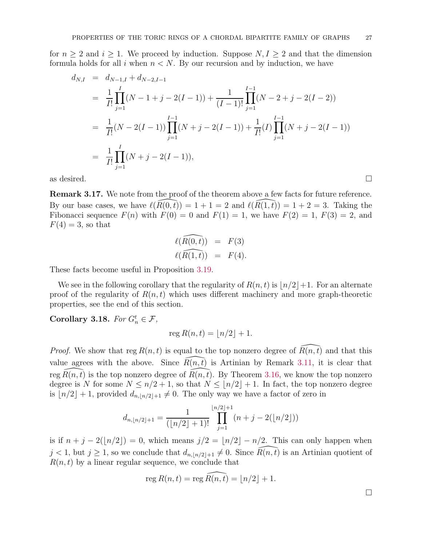for  $n \geq 2$  and  $i \geq 1$ . We proceed by induction. Suppose  $N, I \geq 2$  and that the dimension formula holds for all i when  $n < N$ . By our recursion and by induction, we have

$$
d_{N,I} = d_{N-1,I} + d_{N-2,I-1}
$$
  
=  $\frac{1}{I!} \prod_{j=1}^{I} (N-1+j-2(I-1)) + \frac{1}{(I-1)!} \prod_{j=1}^{I-1} (N-2+j-2(I-2))$   
=  $\frac{1}{I!} (N-2(I-1)) \prod_{j=1}^{I-1} (N+j-2(I-1)) + \frac{1}{I!} (I) \prod_{j=1}^{I-1} (N+j-2(I-1))$   
=  $\frac{1}{I!} \prod_{j=1}^{I} (N+j-2(I-1)),$   
as desired.

<span id="page-26-1"></span>Remark 3.17. We note from the proof of the theorem above a few facts for future reference. By our base cases, we have  $\ell(R(0, t)) = 1 + 1 = 2$  and  $\ell(R(1, t)) = 1 + 2 = 3$ . Taking the Fibonacci sequence  $F(n)$  with  $F(0) = 0$  and  $F(1) = 1$ , we have  $F(2) = 1$ ,  $F(3) = 2$ , and  $F(4) = 3$ , so that

$$
\ell(\widehat{R(0,t)}) = F(3)
$$
  

$$
\ell(\widehat{R(1,t)}) = F(4).
$$

These facts become useful in Proposition [3.19.](#page-27-0)

We see in the following corollary that the regularity of  $R(n, t)$  is  $\lfloor n/2 \rfloor + 1$ . For an alternate proof of the regularity of  $R(n, t)$  which uses different machinery and more graph-theoretic properties, see the end of this section.

<span id="page-26-0"></span>Corollary 3.18. For  $G_n^t \in \mathcal{F}$ ,

$$
\operatorname{reg} R(n,t) = \lfloor n/2 \rfloor + 1.
$$

*Proof.* We show that reg  $R(n, t)$  is equal to the top nonzero degree of  $\overline{R}(n, t)$  and that this value agrees with the above. Since  $\overline{R}(n, t)$  is Artinian by Remark [3.11,](#page-21-3) it is clear that reg  $R(n, t)$  is the top nonzero degree of  $R(n, t)$ . By Theorem [3.16,](#page-24-0) we know the top nonzero degree is N for some  $N \leq n/2 + 1$ , so that  $N \leq \lfloor n/2 \rfloor + 1$ . In fact, the top nonzero degree is  $\lfloor n/2 \rfloor + 1$ , provided  $d_{n, \lfloor n/2 \rfloor + 1} \neq 0$ . The only way we have a factor of zero in

$$
d_{n,[n/2]+1} = \frac{1}{(\lfloor n/2 \rfloor + 1)!} \prod_{j=1}^{\lfloor n/2 \rfloor + 1} (n+j-2(\lfloor n/2 \rfloor))
$$

is if  $n + j - 2([n/2]) = 0$ , which means  $j/2 = \lfloor n/2 \rfloor - n/2$ . This can only happen when  $j < 1$ , but  $j \ge 1$ , so we conclude that  $d_{n, \lfloor n/2 \rfloor + 1} \ne 0$ . Since  $R(n, t)$  is an Artinian quotient of  $R(n, t)$  by a linear regular sequence, we conclude that

reg 
$$
R(n,t) = \text{reg } \widehat{R(n,t)} = \lfloor n/2 \rfloor + 1.
$$

 $\Box$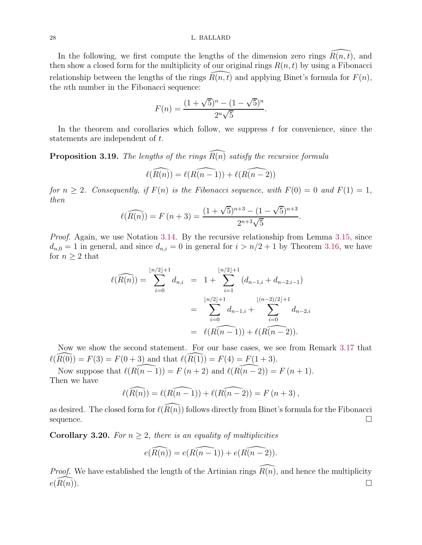#### 28 L. BALLARD

In the following, we first compute the lengths of the dimension zero rings  $\widehat{R}(n, t)$ , and then show a closed form for the multiplicity of our original rings  $R(n, t)$  by using a Fibonacci relationship between the lengths of the rings  $R(n, t)$  and applying Binet's formula for  $F(n)$ , the nth number in the Fibonacci sequence:

$$
F(n) = \frac{(1 + \sqrt{5})^n - (1 - \sqrt{5})^n}{2^n \sqrt{5}}.
$$

In the theorem and corollaries which follow, we suppress  $t$  for convenience, since the statements are independent of t.

<span id="page-27-0"></span>**Proposition 3.19.** The lengths of the rings  $\widehat{R(n)}$  satisfy the recursive formula

$$
\ell(\widehat{R(n)}) = \ell(\widehat{R(n-1)}) + \ell(\widehat{R(n-2)})
$$

for  $n \geq 2$ . Consequently, if  $F(n)$  is the Fibonacci sequence, with  $F(0) = 0$  and  $F(1) = 1$ , then

$$
\ell(\widehat{R(n)}) = F(n+3) = \frac{(1+\sqrt{5})^{n+3} - (1-\sqrt{5})^{n+3}}{2^{n+3}\sqrt{5}}.
$$

Proof. Again, we use Notation [3.14.](#page-23-0) By the recursive relationship from Lemma [3.15,](#page-24-1) since  $d_{n,0} = 1$  in general, and since  $d_{n,i} = 0$  in general for  $i > n/2 + 1$  by Theorem [3.16,](#page-24-0) we have for  $n \geq 2$  that

$$
\ell(\widehat{R(n)}) = \sum_{i=0}^{\lfloor n/2 \rfloor + 1} d_{n,i} = 1 + \sum_{i=1}^{\lfloor n/2 \rfloor + 1} (d_{n-1,i} + d_{n-2,i-1})
$$

$$
= \sum_{i=0}^{\lfloor n/2 \rfloor + 1} d_{n-1,i} + \sum_{i=0}^{\lfloor (n-2)/2 \rfloor + 1} d_{n-2,i}
$$

$$
= \ell(\widehat{R(n-1)}) + \ell(\widehat{R(n-2)}).
$$

Now we show the second statement. For our base cases, we see from Remark [3.17](#page-26-1) that  $\ell(\widehat{R(0)}) = F(3) = F(0+3)$  and that  $\ell(\widehat{R(1)}) = F(4) = F(1+3)$ .

Now suppose that  $\ell(R(n-1)) = F(n+2)$  and  $\ell(R(n-2)) = F(n+1)$ . Then we have

$$
\ell(\widehat{R(n)}) = \ell(\widehat{R(n-1)}) + \ell(\widehat{R(n-2)}) = F(n+3),
$$

as desired. The closed form for  $\ell(\widehat{R(n)})$  follows directly from Binet's formula for the Fibonacci  $\Box$  sequence.

Corollary 3.20. For  $n \geq 2$ , there is an equality of multiplicities

$$
e(\widehat{R(n)}) = e(\widehat{R(n-1)}) + e(\widehat{R(n-2)}).
$$

*Proof.* We have established the length of the Artinian rings  $\widehat{R(n)}$ , and hence the multiplicity  $e(\widehat{R(n)})$ .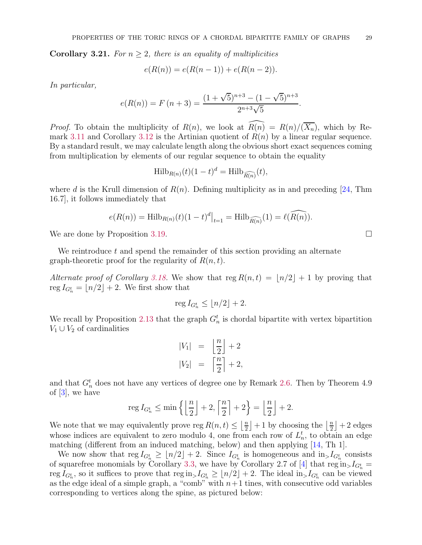<span id="page-28-0"></span>**Corollary 3.21.** For  $n \geq 2$ , there is an equality of multiplicities

$$
e(R(n)) = e(R(n-1)) + e(R(n-2)).
$$

In particular,

$$
e(R(n)) = F(n+3) = \frac{(1+\sqrt{5})^{n+3} - (1-\sqrt{5})^{n+3}}{2^{n+3}\sqrt{5}}.
$$

*Proof.* To obtain the multiplicity of  $R(n)$ , we look at  $\widehat{R(n)} = R(n)/(\overline{X_n})$ , which by Re-mark [3.11](#page-21-3) and Corollary [3.12](#page-21-0) is the Artinian quotient of  $R(n)$  by a linear regular sequence. By a standard result, we may calculate length along the obvious short exact sequences coming from multiplication by elements of our regular sequence to obtain the equality

$$
\text{Hilb}_{R(n)}(t)(1-t)^d = \text{Hilb}_{\widehat{R(n)}}(t),
$$

where d is the Krull dimension of  $R(n)$ . Defining multiplicity as in and preceding [\[24,](#page-30-24) Thm 16.7], it follows immediately that

$$
e(R(n)) = \operatorname{Hilb}_{R(n)}(t)(1-t)^d|_{t=1} = \operatorname{Hilb}_{\widehat{R(n)}}(1) = \ell(\widehat{R(n)}).
$$

We are done by Proposition [3.19.](#page-27-0)

We reintroduce  $t$  and spend the remainder of this section providing an alternate graph-theoretic proof for the regularity of  $R(n, t)$ .

Alternate proof of Corollary [3.18.](#page-26-0) We show that reg  $R(n,t) = |n/2| + 1$  by proving that reg  $I_{G_n^t} = \lfloor n/2 \rfloor + 2$ . We first show that

$$
\operatorname{reg} I_{G_n^t} \le \lfloor n/2 \rfloor + 2.
$$

We recall by Proposition [2.13](#page-7-1) that the graph  $G_n^t$  is chordal bipartite with vertex bipartition  $V_1 \cup V_2$  of cardinalities

$$
|V_1| = \left\lfloor \frac{n}{2} \right\rfloor + 2
$$
  

$$
|V_2| = \left\lceil \frac{n}{2} \right\rceil + 2,
$$

and that  $G_n^t$  does not have any vertices of degree one by Remark [2.6.](#page-5-0) Then by Theorem 4.9 of [\[3\]](#page-30-1), we have

$$
\operatorname{reg} I_{G_n^t} \le \min\left\{ \left\lfloor \frac{n}{2} \right\rfloor + 2, \left\lceil \frac{n}{2} \right\rceil + 2 \right\} = \left\lfloor \frac{n}{2} \right\rfloor + 2.
$$

We note that we may equivalently prove reg  $R(n, t) \leq \frac{\lfloor n}{2}$  $\left\lfloor \frac{n}{2} \right\rfloor + 1$  by choosing the  $\left\lfloor \frac{n}{2} \right\rfloor$  $\frac{n}{2}$  | + 2 edges whose indices are equivalent to zero modulo 4, one from each row of  $L_n^t$ , to obtain an edge matching (different from an induced matching, below) and then applying [\[14,](#page-30-8) Th 1].

We now show that  $\text{reg } I_{G_n^t} \geq \lfloor n/2 \rfloor + 2$ . Since  $I_{G_n^t}$  is homogeneous and  $\text{in}_> I_{G_n^t}$  consists of squarefree monomials by Corollary [3.3,](#page-17-1) we have by Corollary 2.7 of [\[4\]](#page-30-18) that  $\text{reg in}_{>}I_{G_n^t}$  = reg  $I_{G_n^t}$ , so it suffices to prove that reg in  $I_{G_n^t} \geq \lfloor n/2 \rfloor + 2$ . The ideal in  $I_{G_n^t}$  can be viewed as the edge ideal of a simple graph, a "comb" with  $n+1$  tines, with consecutive odd variables corresponding to vertices along the spine, as pictured below: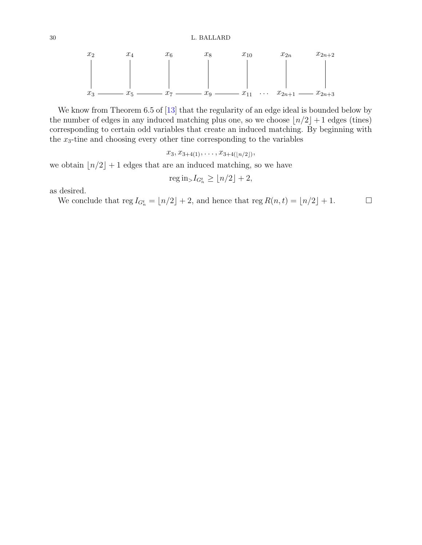30 L. BALLARD

$$
x_2
$$
  $x_4$   $x_6$   $x_8$   $x_{10}$   $x_{2n}$   $x_{2n+2}$   
\n $x_3$   $x_5$   $x_6$   $x_8$   $x_{10}$   $x_{2n}$   $x_{2n+2}$ 

We know from Theorem 6.5 of [\[13\]](#page-30-19) that the regularity of an edge ideal is bounded below by the number of edges in any induced matching plus one, so we choose  $\lfloor n/2 \rfloor + 1$  edges (tines) corresponding to certain odd variables that create an induced matching. By beginning with the  $x_3$ -tine and choosing every other tine corresponding to the variables

 $x_3, x_{3+4(1)}, \ldots, x_{3+4(\lfloor n/2 \rfloor)},$ 

we obtain  $\lfloor n/2 \rfloor + 1$  edges that are an induced matching, so we have

$$
\operatorname{reg} \operatorname{in}_{>} I_{G_n^t} \ge \lfloor n/2 \rfloor + 2,
$$

as desired.

We conclude that reg  $I_{G_n^t} = \lfloor n/2 \rfloor + 2$ , and hence that reg  $R(n, t) = \lfloor n/2 \rfloor + 1$ .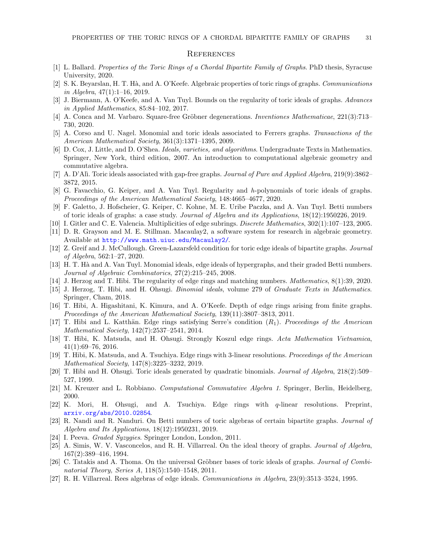#### **REFERENCES**

- <span id="page-30-20"></span><span id="page-30-0"></span>[1] L. Ballard. Properties of the Toric Rings of a Chordal Bipartite Family of Graphs. PhD thesis, Syracuse University, 2020.
- <span id="page-30-1"></span>[2] S. K. Beyarslan, H. T. Hà, and A. O'Keefe. Algebraic properties of toric rings of graphs. Communications in Algebra,  $47(1):1-16$ ,  $2019$ .
- <span id="page-30-18"></span>[3] J. Biermann, A. O'Keefe, and A. Van Tuyl. Bounds on the regularity of toric ideals of graphs. Advances in Applied Mathematics, 85:84–102, 2017.
- <span id="page-30-2"></span>[4] A. Conca and M. Varbaro. Square-free Gröbner degenerations. Inventiones Mathematicae, 221(3):713– 730, 2020.
- <span id="page-30-25"></span>[5] A. Corso and U. Nagel. Monomial and toric ideals associated to Ferrers graphs. Transactions of the American Mathematical Society, 361(3):1371–1395, 2009.
- [6] D. Cox, J. Little, and D. O'Shea. Ideals, varieties, and algorithms. Undergraduate Texts in Mathematics. Springer, New York, third edition, 2007. An introduction to computational algebraic geometry and commutative algebra.
- <span id="page-30-4"></span><span id="page-30-3"></span>[7] A. D'Alì. Toric ideals associated with gap-free graphs. Journal of Pure and Applied Algebra, 219(9):3862-3872, 2015.
- <span id="page-30-5"></span>[8] G. Favacchio, G. Keiper, and A. Van Tuyl. Regularity and h-polynomials of toric ideals of graphs. Proceedings of the American Mathematical Society, 148:4665–4677, 2020.
- [9] F. Galetto, J. Hofscheier, G. Keiper, C. Kohne, M. E. Uribe Paczka, and A. Van Tuyl. Betti numbers of toric ideals of graphs: a case study. Journal of Algebra and its Applications, 18(12):1950226, 2019.
- <span id="page-30-21"></span><span id="page-30-6"></span>[10] I. Gitler and C. E. Valencia. Multiplicities of edge subrings. Discrete Mathematics, 302(1):107–123, 2005.
- [11] D. R. Grayson and M. E. Stillman. Macaulay2, a software system for research in algebraic geometry. Available at <http://www.math.uiuc.edu/Macaulay2/>.
- <span id="page-30-19"></span><span id="page-30-7"></span>[12] Z. Greif and J. McCullough. Green-Lazarsfeld condition for toric edge ideals of bipartite graphs. Journal of Algebra, 562:1–27, 2020.
- <span id="page-30-8"></span>[13] H. T. H`a and A. Van Tuyl. Monomial ideals, edge ideals of hypergraphs, and their graded Betti numbers. Journal of Algebraic Combinatorics, 27(2):215–245, 2008.
- <span id="page-30-16"></span>[14] J. Herzog and T. Hibi. The regularity of edge rings and matching numbers. Mathematics, 8(1):39, 2020.
- [15] J. Herzog, T. Hibi, and H. Ohsugi. Binomial ideals, volume 279 of Graduate Texts in Mathematics. Springer, Cham, 2018.
- <span id="page-30-9"></span>[16] T. Hibi, A. Higashitani, K. Kimura, and A. O'Keefe. Depth of edge rings arising from finite graphs. Proceedings of the American Mathematical Society, 139(11):3807–3813, 2011.
- <span id="page-30-10"></span>[17] T. Hibi and L. Katthän. Edge rings satisfying Serre's condition  $(R_1)$ . Proceedings of the American Mathematical Society, 142(7):2537–2541, 2014.
- <span id="page-30-11"></span>[18] T. Hibi, K. Matsuda, and H. Ohsugi. Strongly Koszul edge rings. Acta Mathematica Vietnamica, 41(1):69–76, 2016.
- <span id="page-30-12"></span>[19] T. Hibi, K. Matsuda, and A. Tsuchiya. Edge rings with 3-linear resolutions. Proceedings of the American Mathematical Society, 147(8):3225–3232, 2019.
- <span id="page-30-23"></span>[20] T. Hibi and H. Ohsugi. Toric ideals generated by quadratic binomials. Journal of Algebra, 218(2):509– 527, 1999.
- <span id="page-30-26"></span><span id="page-30-13"></span>[21] M. Kreuzer and L. Robbiano. Computational Commutative Algebra 1. Springer, Berlin, Heidelberg, 2000.
- [22] K. Mori, H. Ohsugi, and A. Tsuchiya. Edge rings with q-linear resolutions. Preprint, <arxiv.org/abs/2010.02854>.
- <span id="page-30-14"></span>[23] R. Nandi and R. Nanduri. On Betti numbers of toric algebras of certain bipartite graphs. Journal of Algebra and Its Applications, 18(12):1950231, 2019.
- <span id="page-30-24"></span><span id="page-30-17"></span>[24] I. Peeva. Graded Syzygies. Springer London, London, 2011.
- [25] A. Simis, W. V. Vasconcelos, and R. H. Villarreal. On the ideal theory of graphs. Journal of Algebra, 167(2):389–416, 1994.
- <span id="page-30-15"></span>[26] C. Tatakis and A. Thoma. On the universal Gröbner bases of toric ideals of graphs. *Journal of Combi*natorial Theory, Series A, 118(5):1540–1548, 2011.
- <span id="page-30-22"></span>[27] R. H. Villarreal. Rees algebras of edge ideals. Communications in Algebra, 23(9):3513–3524, 1995.